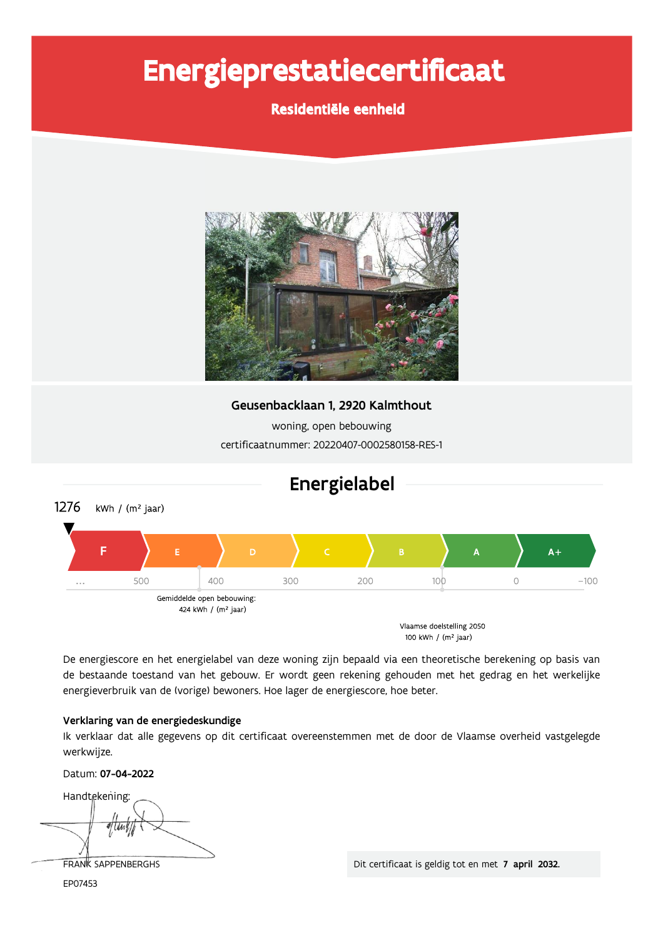# Energieprestatiecertificaat

## Residentiële eenheid



Geusenbacklaan 1, 2920 Kalmthout

woning, open bebouwing certificaatnummer: 20220407-0002580158-RES-1



De energiescore en het energielabel van deze woning zijn bepaald via een theoretische berekening op basis van de bestaande toestand van het gebouw. Er wordt geen rekening gehouden met het gedrag en het werkelijke energieverbruik van de (vorige) bewoners. Hoe lager de energiescore, hoe beter.

#### Verklaring van de energiedeskundige

Ik verklaar dat alle gegevens op dit certificaat overeenstemmen met de door de Vlaamse overheid vastgelegde werkwijze.

Datum: 07-04-2022

Handtekening:

FRANK SAPPENBERGHS EP07453

Dit certificaat is geldig tot en met 7 april 2032.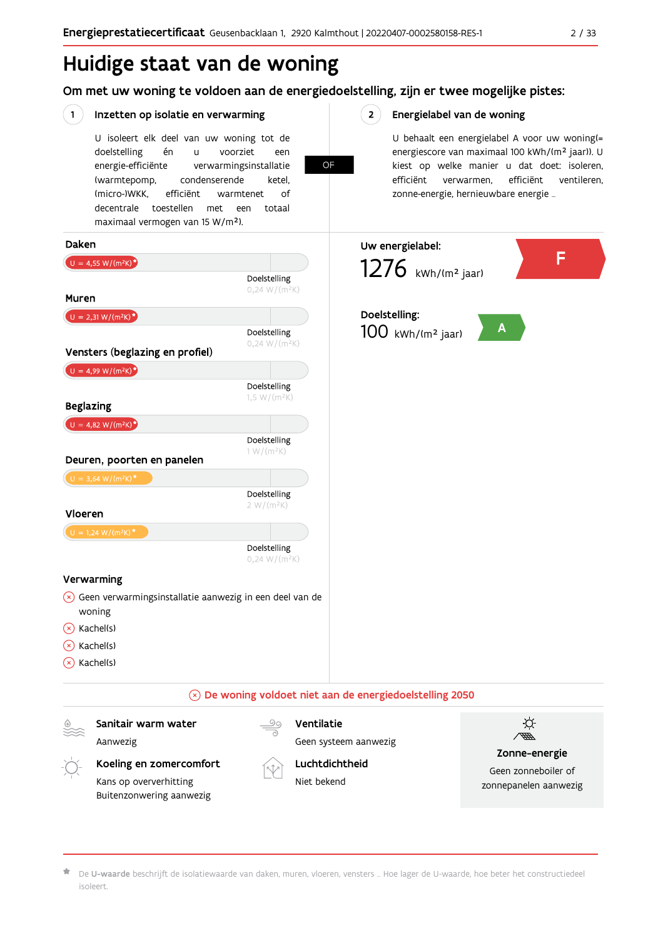# Huidige staat van de woning

### Om met uw woning te voldoen aan de energiedoelstelling, zijn er twee mogelijke pistes:

OF

 $2^{\circ}$ 

#### $\left( \begin{array}{c} 1 \end{array} \right)$ Inzetten op isolatie en verwarming

Buitenzonwering aanwezig

U isoleert elk deel van uw woning tot de doelstelling én  $\mathbf{u}$ voorziet een energie-efficiënte verwarmingsinstallatie (warmtepomp, condenserende ketel, (micro-)WKK. efficiënt warmtenet  $\bigcap_{ }$ decentrale toestellen met een totaal maximaal vermogen van 15 W/m<sup>2</sup>).

Energielabel van de woning

U behaalt een energielabel A voor uw woning(= energiescore van maximaal 100 kWh/(m<sup>2</sup> jaar)). U kiest op welke manier u dat doet: isoleren, efficiënt ventileren, efficiënt verwarmen, zonne-energie, hernieuwbare energie ...



De U-waarde beschrijft de isolatiewaarde van daken, muren, vloeren, vensters ... Hoe lager de U-waarde, hoe beter het constructiedeel isoleert.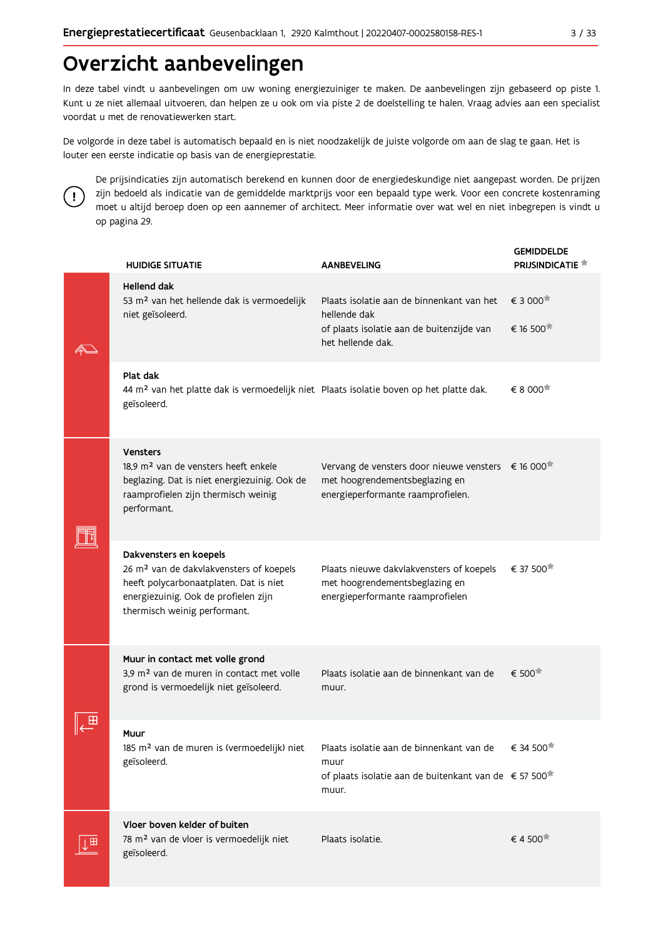# Overzicht aanbevelingen

In deze tabel vindt u aanbevelingen om uw woning energiezuiniger te maken. De aanbevelingen zijn gebaseerd op piste 1. Kunt u ze niet allemaal uitvoeren, dan helpen ze u ook om via piste 2 de doelstelling te halen. Vraag advies aan een specialist voordat u met de renovatiewerken start.

De volgorde in deze tabel is automatisch bepaald en is niet noodzakelijk de juiste volgorde om aan de slag te gaan. Het is louter een eerste indicatie op basis van de energieprestatie.



De prijsindicaties zijn automatisch berekend en kunnen door de energiedeskundige niet aangepast worden. De prijzen zijn bedoeld als indicatie van de gemiddelde marktprijs voor een bepaald type werk. Voor een concrete kostenraming moet u altijd beroep doen op een aannemer of architect. Meer informatie over wat wel en niet inbegrepen is vindt u op pagina 29.

|   | <b>HUIDIGE SITUATIE</b>                                                                                                                                                                         | <b>AANBEVELING</b>                                                                                                                      | <b>GEMIDDELDE</b><br><b>PRIJSINDICATIE</b> |
|---|-------------------------------------------------------------------------------------------------------------------------------------------------------------------------------------------------|-----------------------------------------------------------------------------------------------------------------------------------------|--------------------------------------------|
|   | <b>Hellend dak</b><br>53 m <sup>2</sup> van het hellende dak is vermoedelijk<br>niet geïsoleerd.                                                                                                | Plaats isolatie aan de binnenkant van het<br>hellende dak<br>of plaats isolatie aan de buitenzijde van<br>het hellende dak.             | € 3 000<br>€ 16 500                        |
|   | Plat dak<br>44 m <sup>2</sup> van het platte dak is vermoedelijk niet Plaats isolatie boven op het platte dak.<br>geïsoleerd.                                                                   |                                                                                                                                         | € 8 000                                    |
|   | <b>Vensters</b><br>18,9 m <sup>2</sup> van de vensters heeft enkele<br>beglazing. Dat is niet energiezuinig. Ook de<br>raamprofielen zijn thermisch weinig<br>performant.                       | Vervang de vensters door nieuwe vensters € 16 000 <sup>*</sup><br>met hoogrendementsbeglazing en<br>energieperformante raamprofielen.   |                                            |
|   | Dakvensters en koepels<br>26 m <sup>2</sup> van de dakvlakvensters of koepels<br>heeft polycarbonaatplaten. Dat is niet<br>energiezuinig. Ook de profielen zijn<br>thermisch weinig performant. | Plaats nieuwe dakvlakvensters of koepels<br>met hoogrendementsbeglazing en<br>energieperformante raamprofielen                          | € 37 500                                   |
|   | Muur in contact met volle grond<br>3,9 m <sup>2</sup> van de muren in contact met volle<br>grond is vermoedelijk niet geïsoleerd.                                                               | Plaats isolatie aan de binnenkant van de<br>muur.                                                                                       | € 500 <sup>★</sup>                         |
|   | Muur<br>185 m <sup>2</sup> van de muren is (vermoedelijk) niet<br>geïsoleerd.                                                                                                                   | Plaats isolatie aan de binnenkant van de € 34 500<br>muur<br>of plaats isolatie aan de buitenkant van de € 57 500 <sup>*</sup><br>muur. |                                            |
| ⊞ | Vloer boven kelder of buiten<br>78 m <sup>2</sup> van de vloer is vermoedelijk niet<br>geïsoleerd.                                                                                              | Plaats isolatie.                                                                                                                        | € 4 500                                    |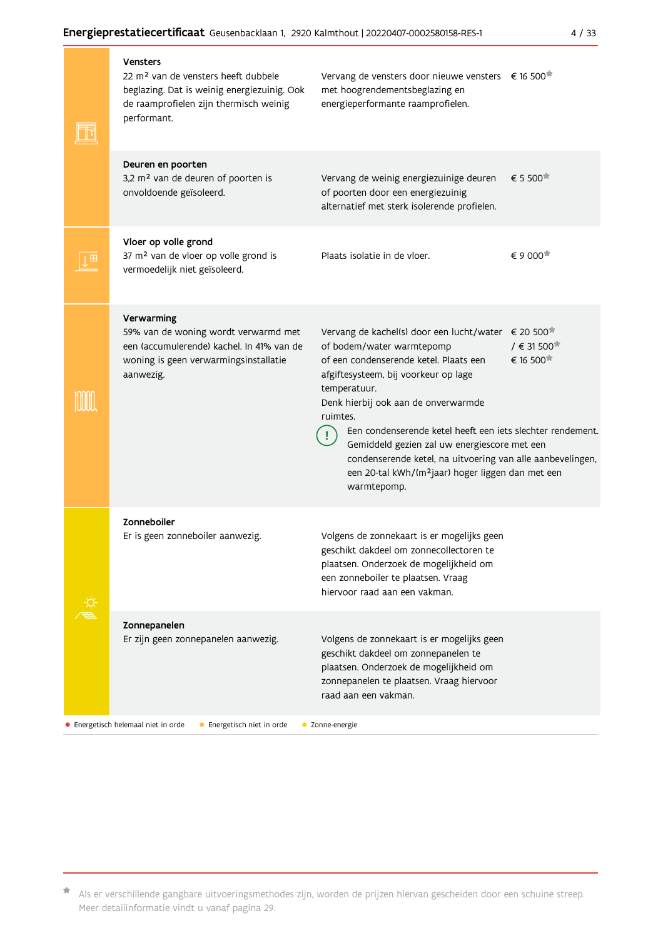|  | <b>Vensters</b><br>22 m <sup>2</sup> van de vensters heeft dubbele<br>beglazing. Dat is weinig energiezuinig. Ook<br>de raamprofielen zijn thermisch weinig<br>performant. | Vervang de vensters door nieuwe vensters € 16 500 <sup>*</sup><br>met hoogrendementsbeglazing en<br>energieperformante raamprofielen.                                                                                                                                                                                                                                                                                                                                                                         |                                                    |
|--|----------------------------------------------------------------------------------------------------------------------------------------------------------------------------|---------------------------------------------------------------------------------------------------------------------------------------------------------------------------------------------------------------------------------------------------------------------------------------------------------------------------------------------------------------------------------------------------------------------------------------------------------------------------------------------------------------|----------------------------------------------------|
|  | Deuren en poorten<br>3,2 m <sup>2</sup> van de deuren of poorten is<br>onvoldoende geïsoleerd.                                                                             | Vervang de weinig energiezuinige deuren<br>of poorten door een energiezuinig<br>alternatief met sterk isolerende profielen.                                                                                                                                                                                                                                                                                                                                                                                   | € 5 500                                            |
|  | Vloer op volle grond<br>37 m <sup>2</sup> van de vloer op volle grond is<br>vermoedelijk niet geïsoleerd.                                                                  | Plaats isolatie in de vloer.                                                                                                                                                                                                                                                                                                                                                                                                                                                                                  | € 9 000                                            |
|  | Verwarming<br>59% van de woning wordt verwarmd met<br>een (accumulerende) kachel. In 41% van de<br>woning is geen verwarmingsinstallatie<br>aanwezig.                      | Vervang de kachel(s) door een lucht/water € 20 500 <sup>*</sup><br>of bodem/water warmtepomp<br>of een condenserende ketel. Plaats een<br>afgiftesysteem, bij voorkeur op lage<br>temperatuur.<br>Denk hierbij ook aan de onverwarmde<br>ruimtes.<br>Een condenserende ketel heeft een iets slechter rendement.<br>Gemiddeld gezien zal uw energiescore met een<br>condenserende ketel, na uitvoering van alle aanbevelingen,<br>een 20-tal kWh/(m <sup>2</sup> jaar) hoger liggen dan met een<br>warmtepomp. | $/$ € 31 500 <sup><math>#</math></sup><br>€ 16 500 |
|  | Zonneboiler<br>Er is geen zonneboiler aanwezig.                                                                                                                            | Volgens de zonnekaart is er mogelijks geen<br>geschikt dakdeel om zonnecollectoren te<br>plaatsen. Onderzoek de mogelijkheid om<br>een zonneboiler te plaatsen. Vraag<br>hiervoor raad aan een vakman.                                                                                                                                                                                                                                                                                                        |                                                    |
|  | Zonnepanelen<br>Er zijn geen zonnepanelen aanwezig.                                                                                                                        | Volgens de zonnekaart is er mogelijks geen<br>geschikt dakdeel om zonnepanelen te<br>plaatsen. Onderzoek de mogelijkheid om<br>zonnepanelen te plaatsen. Vraag hiervoor<br>raad aan een vakman.                                                                                                                                                                                                                                                                                                               |                                                    |
|  | • Energetisch helemaal niet in orde<br>• Energetisch niet in orde                                                                                                          | • Zonne-energie                                                                                                                                                                                                                                                                                                                                                                                                                                                                                               |                                                    |

\* Als er verschillende gangbare uitvoeringsmethodes zijn, worden de prijzen hiervan gescheiden door een schuine streep. Meer detailinformatie vindt u vanaf pagina 29.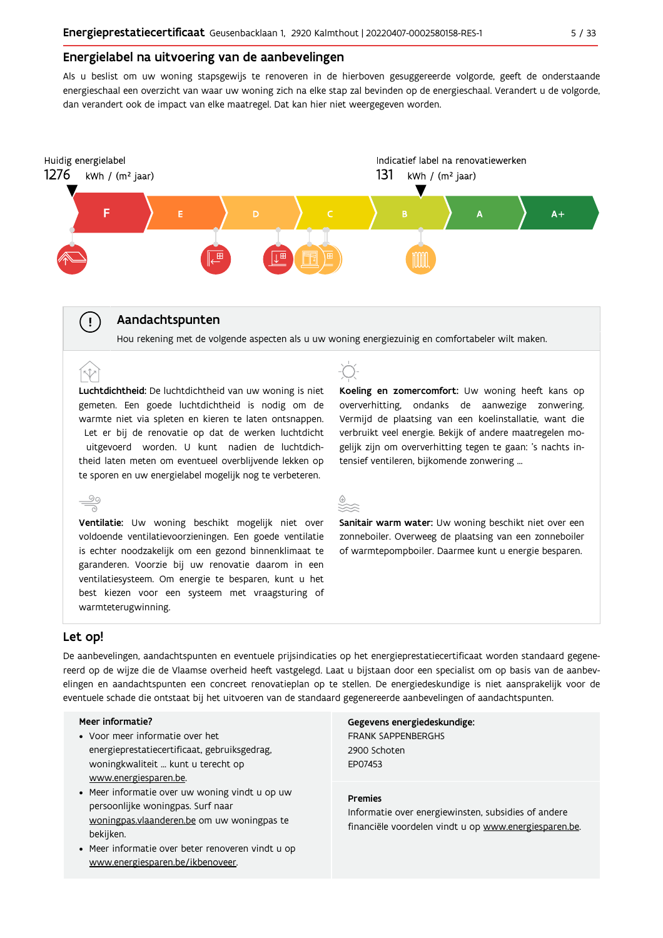#### Energielabel na uitvoering van de aanbevelingen

Als u beslist om uw woning stapsgewijs te renoveren in de hierboven gesuggereerde volgorde, geeft de onderstaande energieschaal een overzicht van waar uw woning zich na elke stap zal bevinden op de energieschaal. Verandert u de volgorde, dan verandert ook de impact van elke maatregel. Dat kan hier niet weergegeven worden.



#### Aandachtspunten

Hou rekening met de volgende aspecten als u uw woning energiezuinig en comfortabeler wilt maken.

Luchtdichtheid: De luchtdichtheid van uw woning is niet gemeten. Een goede luchtdichtheid is nodig om de warmte niet via spleten en kieren te laten ontsnappen. Let er bij de renovatie op dat de werken luchtdicht uitgevoerd worden. U kunt nadien de luchtdichtheid laten meten om eventueel overblijvende lekken op te sporen en uw energielabel mogelijk nog te verbeteren.



voldoende ventilatievoorzieningen. Een goede ventilatie is echter noodzakelijk om een gezond binnenklimaat te garanderen. Voorzie bij uw renovatie daarom in een ventilatiesysteem. Om energie te besparen, kunt u het best kiezen voor een systeem met vraagsturing of warmteterugwinning.



Koeling en zomercomfort: Uw woning heeft kans op oververhitting, ondanks de aanwezige zonwering. Vermijd de plaatsing van een koelinstallatie, want die verbruikt veel energie. Bekijk of andere maatregelen mogelijk zijn om oververhitting tegen te gaan: 's nachts intensief ventileren, bijkomende zonwering ...



Sanitair warm water: Uw woning beschikt niet over een zonneboiler. Overweeg de plaatsing van een zonneboiler of warmtepompboiler. Daarmee kunt u energie besparen.

#### Let op!

 $\mathbf{I}$ 

(r.t

De aanbevelingen, aandachtspunten en eventuele prijsindicaties op het energieprestatiecertificaat worden standaard gegenereerd op de wijze die de Vlaamse overheid heeft vastgelegd. Laat u bijstaan door een specialist om op basis van de aanbevelingen en aandachtspunten een concreet renovatieplan op te stellen. De energiedeskundige is niet aansprakelijk voor de eventuele schade die ontstaat bij het uitvoeren van de standaard gegenereerde aanbevelingen of aandachtspunten.

#### Meer informatie?

- Voor meer informatie over het energieprestatiecertificaat, gebruiksgedrag, woningkwaliteit ... kunt u terecht op www.energiesparen.be.
- Meer informatie over uw woning vindt u op uw persoonlijke woningpas. Surf naar woningpas.vlaanderen.be om uw woningpas te bekijken.
- Meer informatie over beter renoveren vindt u op www.energiesparen.be/ikbenoveer.

Gegevens energiedeskundige: **FRANK SAPPENBERGHS** 2900 Schoten **FP07453** 

#### **Premies**

Informatie over energiewinsten, subsidies of andere financiële voordelen vindt u op www.energiesparen.be.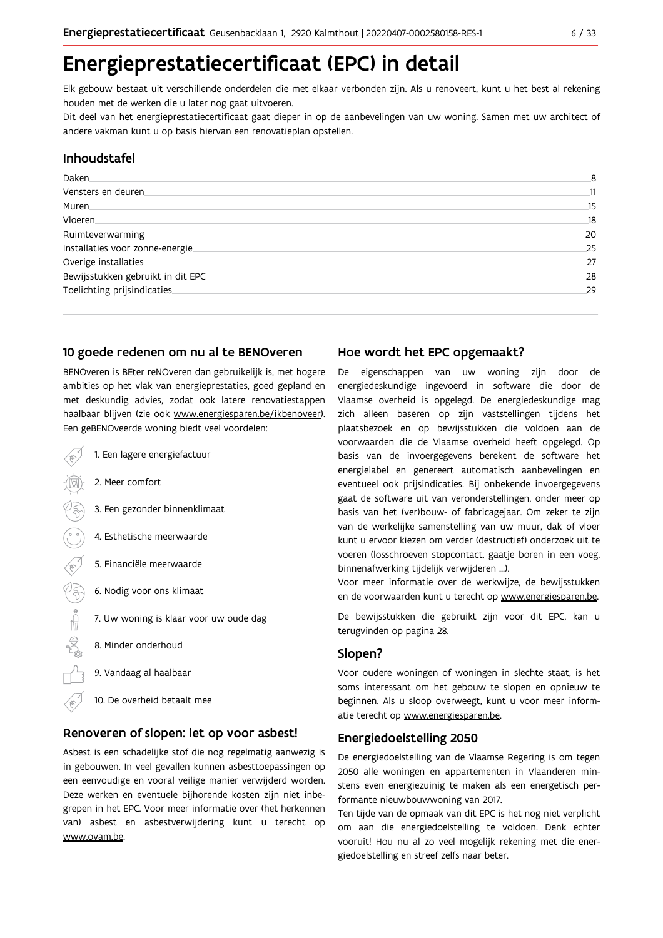# Energieprestatiecertificaat (EPC) in detail

Elk gebouw bestaat uit verschillende onderdelen die met elkaar verbonden zijn. Als u renoveert, kunt u het best al rekening houden met de werken die u later nog gaat uitvoeren.

Dit deel van het energieprestatiecertificaat gaat dieper in op de aanbevelingen van uw woning. Samen met uw architect of andere vakman kunt u op basis hiervan een renovatieplan opstellen.

#### Inhoudstafel

| Daken.                            | 8  |
|-----------------------------------|----|
| Vensters en deuren                | 11 |
| Muren                             | 15 |
| <b>Vloeren</b>                    | 18 |
| Ruimteverwarming                  | 20 |
| Installaties voor zonne-energie.  | 25 |
| Overige installaties              | 27 |
| Bewijsstukken gebruikt in dit EPC | 28 |
| Toelichting prijsindicaties       | 29 |
|                                   |    |

#### 10 goede redenen om nu al te BENOveren

BENOveren is BEter reNOveren dan gebruikelijk is, met hogere ambities op het vlak van energieprestaties, goed gepland en met deskundig advies, zodat ook latere renovatiestappen haalbaar blijven (zie ook www.energiesparen.be/ikbenoveer). Een geBENOveerde woning biedt veel voordelen:

1. Een lagere energiefactuur 2. Meer comfort 3. Een gezonder binnenklimaat 4. Esthetische meerwaarde 5. Financiële meerwaarde  $\sqrt{3}$ 6. Nodig voor ons klimaat  $\begin{picture}(150,10) \put(0,0){\line(1,0){10}} \put(15,0){\line(1,0){10}} \put(15,0){\line(1,0){10}} \put(15,0){\line(1,0){10}} \put(15,0){\line(1,0){10}} \put(15,0){\line(1,0){10}} \put(15,0){\line(1,0){10}} \put(15,0){\line(1,0){10}} \put(15,0){\line(1,0){10}} \put(15,0){\line(1,0){10}} \put(15,0){\line(1,0){10}} \put(15,0){\line($ 7. Uw woning is klaar voor uw oude dag 8. Minder onderhoud 9. Vandaag al haalbaar 10. De overheid betaalt mee

# Renoveren of slopen: let op voor asbest!

Asbest is een schadelijke stof die nog regelmatig aanwezig is in gebouwen. In veel gevallen kunnen asbesttoepassingen op een eenvoudige en vooral veilige manier verwijderd worden. Deze werken en eventuele bijhorende kosten zijn niet inbegrepen in het EPC. Voor meer informatie over (het herkennen van) asbest en asbestverwijdering kunt u terecht op www.ovam.be.

#### Hoe wordt het EPC opgemaakt?

De eigenschappen van uw woning zijn door de energiedeskundige ingevoerd in software die door de Vlaamse overheid is opgelegd. De energiedeskundige mag zich alleen baseren op zijn vaststellingen tijdens het plaatsbezoek en op bewijsstukken die voldoen aan de voorwaarden die de Vlaamse overheid heeft opgelegd. Op basis van de invoergegevens berekent de software het energielabel en genereert automatisch aanbevelingen en eventueel ook prijsindicaties. Bij onbekende invoergegevens gaat de software uit van veronderstellingen, onder meer op basis van het (ver)bouw- of fabricagejaar. Om zeker te zijn van de werkelijke samenstelling van uw muur, dak of vloer kunt u ervoor kiezen om verder (destructief) onderzoek uit te voeren (losschroeven stopcontact, gaatje boren in een voeg, binnenafwerking tijdelijk verwijderen ...).

Voor meer informatie over de werkwijze, de bewijsstukken en de voorwaarden kunt u terecht op www.energiesparen.be.

De bewijsstukken die gebruikt zijn voor dit EPC, kan u terugvinden op pagina 28.

### Slopen?

Voor oudere woningen of woningen in slechte staat, is het soms interessant om het gebouw te slopen en opnieuw te beginnen. Als u sloop overweegt, kunt u voor meer informatie terecht op www.energiesparen.be.

#### **Energiedoelstelling 2050**

De energiedoelstelling van de Vlaamse Regering is om tegen 2050 alle woningen en appartementen in Vlaanderen minstens even energiezuinig te maken als een energetisch performante nieuwbouwwoning van 2017.

Ten tijde van de opmaak van dit EPC is het nog niet verplicht om aan die energiedoelstelling te voldoen. Denk echter vooruit! Hou nu al zo veel mogelijk rekening met die energiedoelstelling en streef zelfs naar beter.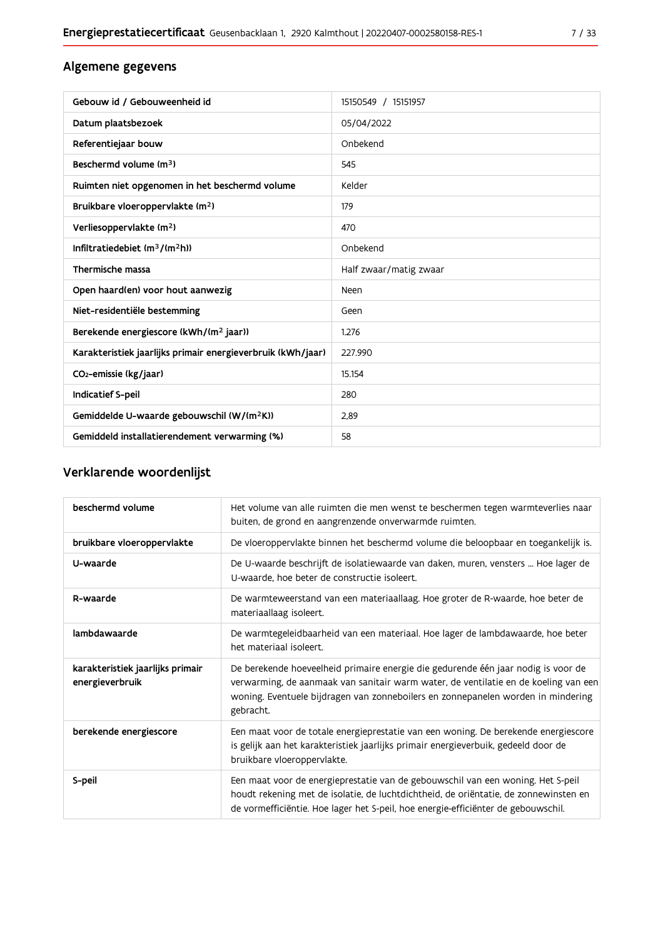### Algemene gegevens

| Gebouw id / Gebouweenheid id                                | 15150549 / 15151957    |
|-------------------------------------------------------------|------------------------|
| Datum plaatsbezoek                                          | 05/04/2022             |
| Referentiejaar bouw                                         | Onbekend               |
| Beschermd volume (m <sup>3</sup> )                          | 545                    |
| Ruimten niet opgenomen in het beschermd volume              | Kelder                 |
| Bruikbare vloeroppervlakte (m <sup>2</sup> )                | 179                    |
| Verliesoppervlakte (m <sup>2</sup> )                        | 470                    |
| Infiltratiedebiet $(m^3/(m^2h))$                            | Onbekend               |
| Thermische massa                                            | Half zwaar/matig zwaar |
| Open haard(en) voor hout aanwezig                           | Neen                   |
| Niet-residentiële bestemming                                | Geen                   |
| Berekende energiescore (kWh/(m <sup>2</sup> jaar))          | 1.276                  |
| Karakteristiek jaarlijks primair energieverbruik (kWh/jaar) | 227.990                |
| CO <sub>2</sub> -emissie (kg/jaar)                          | 15.154                 |
| Indicatief S-peil                                           | 280                    |
| Gemiddelde U-waarde gebouwschil (W/(m <sup>2</sup> K))      | 2,89                   |
| Gemiddeld installatierendement verwarming (%)               | 58                     |

# Verklarende woordenlijst

| beschermd volume                                    | Het volume van alle ruimten die men wenst te beschermen tegen warmteverlies naar<br>buiten, de grond en aangrenzende onverwarmde ruimten.                                                                                                                                 |
|-----------------------------------------------------|---------------------------------------------------------------------------------------------------------------------------------------------------------------------------------------------------------------------------------------------------------------------------|
| bruikbare vloeroppervlakte                          | De vloeroppervlakte binnen het beschermd volume die beloopbaar en toegankelijk is.                                                                                                                                                                                        |
| U-waarde                                            | De U-waarde beschrijft de isolatiewaarde van daken, muren, vensters  Hoe lager de<br>U-waarde, hoe beter de constructie isoleert.                                                                                                                                         |
| R-waarde                                            | De warmteweerstand van een materiaallaag. Hoe groter de R-waarde, hoe beter de<br>materiaallaag isoleert.                                                                                                                                                                 |
| lambdawaarde                                        | De warmtegeleidbaarheid van een materiaal. Hoe lager de lambdawaarde, hoe beter<br>het materiaal isoleert.                                                                                                                                                                |
| karakteristiek jaarlijks primair<br>energieverbruik | De berekende hoeveelheid primaire energie die gedurende één jaar nodig is voor de<br>verwarming, de aanmaak van sanitair warm water, de ventilatie en de koeling van een<br>woning. Eventuele bijdragen van zonneboilers en zonnepanelen worden in mindering<br>gebracht. |
| berekende energiescore                              | Een maat voor de totale energieprestatie van een woning. De berekende energiescore<br>is gelijk aan het karakteristiek jaarlijks primair energieverbuik, gedeeld door de<br>bruikbare vloeroppervlakte.                                                                   |
| S-peil                                              | Een maat voor de energieprestatie van de gebouwschil van een woning. Het S-peil<br>houdt rekening met de isolatie, de luchtdichtheid, de oriëntatie, de zonnewinsten en<br>de vormefficiëntie. Hoe lager het S-peil, hoe energie-efficiënter de gebouwschil.              |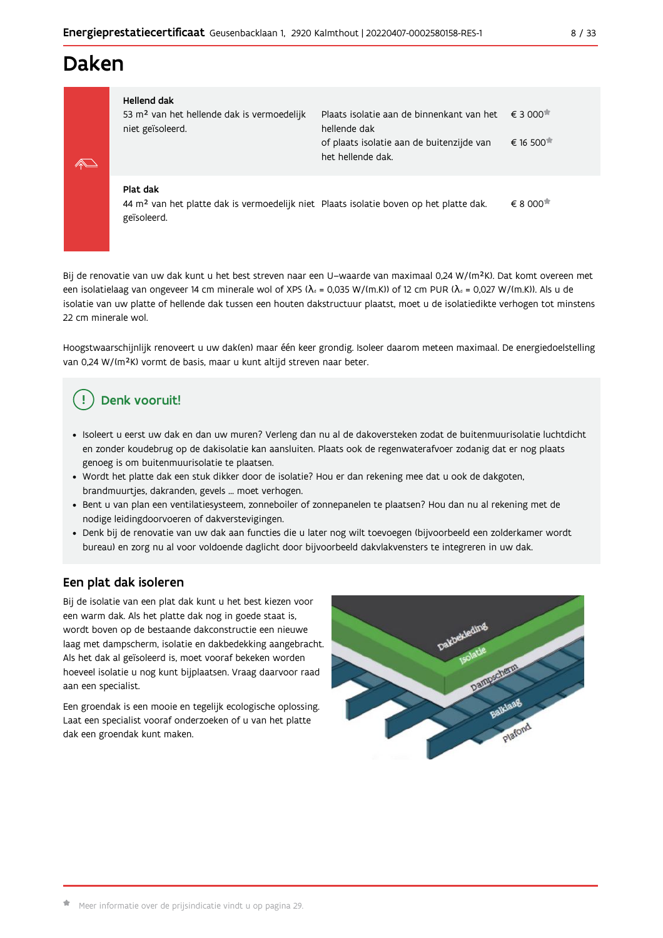# Daken

| Hellend dak                                                                |                                                                   |          |
|----------------------------------------------------------------------------|-------------------------------------------------------------------|----------|
| 53 m <sup>2</sup> van het hellende dak is vermoedelijk<br>niet geïsoleerd. | Plaats isolatie aan de binnenkant van het € 3 000<br>hellende dak |          |
|                                                                            | of plaats isolatie aan de buitenzijde van<br>het hellende dak.    | € 16 500 |
| Plat dak                                                                   |                                                                   |          |

 $\epsilon$  8 000<sup> $\star$ </sup> 44 m<sup>2</sup> van het platte dak is vermoedelijk niet Plaats isolatie boven op het platte dak. geïsoleerd.

Bij de renovatie van uw dak kunt u het best streven naar een U-waarde van maximaal 0,24 W/(m<sup>2</sup>K). Dat komt overeen met een isolatielaag van ongeveer 14 cm minerale wol of XPS ( $\lambda_a$  = 0,035 W/(m.K)) of 12 cm PUR ( $\lambda_a$  = 0,027 W/(m.K)). Als u de isolatie van uw platte of hellende dak tussen een houten dakstructuur plaatst, moet u de isolatiedikte verhogen tot minstens 22 cm minerale wol.

Hoogstwaarschijnlijk renoveert u uw dak(en) maar één keer grondig. Isoleer daarom meteen maximaal. De energiedoelstelling van 0,24 W/(m<sup>2</sup>K) vormt de basis, maar u kunt altijd streven naar beter.

# Denk vooruit!

- · Isoleert u eerst uw dak en dan uw muren? Verleng dan nu al de dakoversteken zodat de buitenmuurisolatie luchtdicht en zonder koudebrug op de dakisolatie kan aansluiten. Plaats ook de regenwaterafvoer zodanig dat er nog plaats genoeg is om buitenmuurisolatie te plaatsen.
- · Wordt het platte dak een stuk dikker door de isolatie? Hou er dan rekening mee dat u ook de dakgoten, brandmuurtjes, dakranden, gevels ... moet verhogen.
- · Bent u van plan een ventilatiesysteem, zonneboiler of zonnepanelen te plaatsen? Hou dan nu al rekening met de nodige leidingdoorvoeren of dakverstevigingen.
- · Denk bij de renovatie van uw dak aan functies die u later nog wilt toevoegen (bijvoorbeeld een zolderkamer wordt bureau) en zorg nu al voor voldoende daglicht door bijvoorbeeld dakvlakvensters te integreren in uw dak.

### Een plat dak isoleren

Bij de isolatie van een plat dak kunt u het best kiezen voor een warm dak. Als het platte dak nog in goede staat is, wordt boven op de bestaande dakconstructie een nieuwe laag met dampscherm, isolatie en dakbedekking aangebracht. Als het dak al geïsoleerd is, moet vooraf bekeken worden hoeveel isolatie u nog kunt bijplaatsen. Vraag daarvoor raad aan een specialist.

Een groendak is een mooie en tegelijk ecologische oplossing. Laat een specialist vooraf onderzoeken of u van het platte dak een groendak kunt maken.

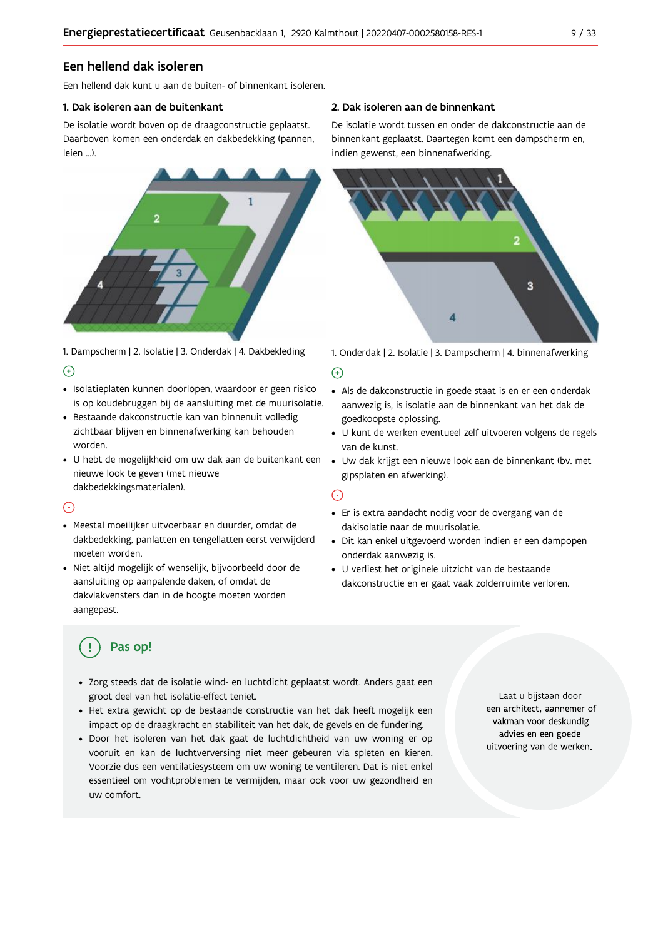### Een hellend dak isoleren

Fen hellend dak kunt u aan de buiten- of binnenkant isoleren.

#### 1. Dak isoleren aan de buitenkant

De isolatie wordt boven op de draagconstructie geplaatst. Daarboven komen een onderdak en dakbedekking (pannen, leien ...).



1. Dampscherm | 2. Isolatie | 3. Onderdak | 4. Dakbekleding  $\Theta$ 

- · Isolatieplaten kunnen doorlopen, waardoor er geen risico is op koudebruggen bij de aansluiting met de muurisolatie.
- · Bestaande dakconstructie kan van binnenuit volledig zichtbaar blijven en binnenafwerking kan behouden worden.
- · U hebt de mogelijkheid om uw dak aan de buitenkant een nieuwe look te geven (met nieuwe dakbedekkingsmaterialen).

#### $\bigcap$

- · Meestal moeilijker uitvoerbaar en duurder, omdat de dakbedekking, panlatten en tengellatten eerst verwijderd moeten worden.
- · Niet altijd mogelijk of wenselijk, bijvoorbeeld door de aansluiting op aanpalende daken, of omdat de dakvlakvensters dan in de hoogte moeten worden aangepast.

#### 2. Dak isoleren aan de binnenkant

De isolatie wordt tussen en onder de dakconstructie aan de binnenkant geplaatst. Daartegen komt een dampscherm en, indien gewenst, een binnenafwerking.



1. Onderdak | 2. Isolatie | 3. Dampscherm | 4. binnenafwerking

#### $\bigoplus$

- Als de dakconstructie in goede staat is en er een onderdak aanwezig is, is isolatie aan de binnenkant van het dak de goedkoopste oplossing.
- · U kunt de werken eventueel zelf uitvoeren volgens de regels van de kunst.
- · Uw dak krijgt een nieuwe look aan de binnenkant (bv. met gipsplaten en afwerking).

#### $\odot$

- · Er is extra aandacht nodig voor de overgang van de dakisolatie naar de muurisolatie.
- · Dit kan enkel uitgevoerd worden indien er een dampopen onderdak aanwezig is.
- · U verliest het originele uitzicht van de bestaande dakconstructie en er gaat vaak zolderruimte verloren.

# Pas op!

- · Zorg steeds dat de isolatie wind- en luchtdicht geplaatst wordt. Anders gaat een groot deel van het isolatie-effect teniet.
- · Het extra gewicht op de bestaande constructie van het dak heeft mogelijk een impact op de draagkracht en stabiliteit van het dak, de gevels en de fundering.
- · Door het isoleren van het dak gaat de luchtdichtheid van uw woning er op vooruit en kan de luchtverversing niet meer gebeuren via spleten en kieren. Voorzie dus een ventilatiesysteem om uw woning te ventileren. Dat is niet enkel essentieel om vochtproblemen te vermijden, maar ook voor uw gezondheid en uw comfort.

Laat u bijstaan door een architect, aannemer of vakman voor deskundig advies en een goede uitvoering van de werken.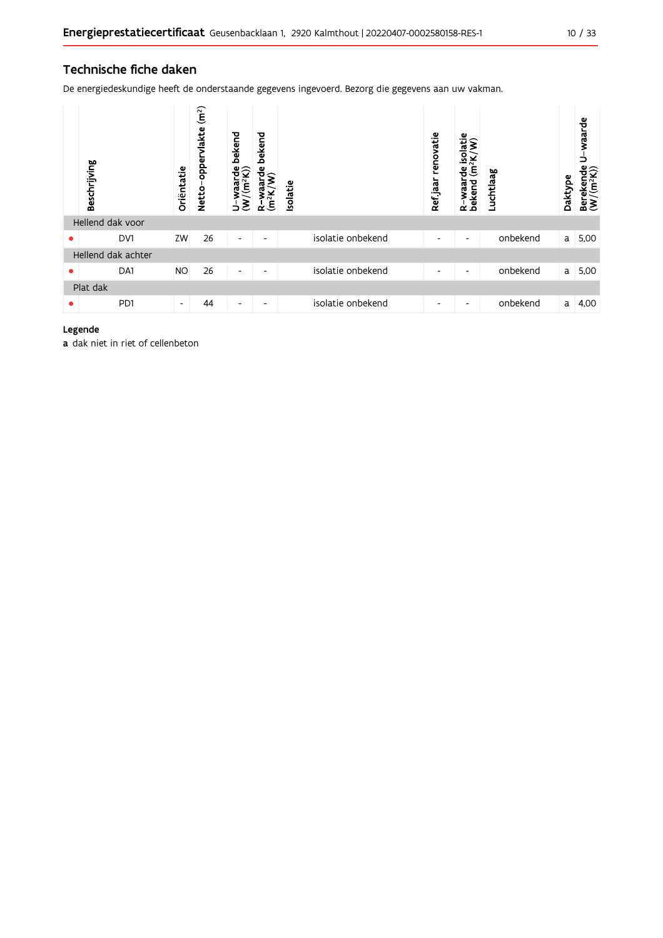### Technische fiche daken

De energiedeskundige heeft de onderstaande gegevens ingevoerd. Bezorg die gegevens aan uw vakman.

|   | Beschrijving       | Oriëntatie     | (m <sup>2</sup> )<br>oppervlakte<br><b>Netto</b> | bekend<br>$\frac{w \text{aard}}{(m^2 K)}$<br>℥<br>Ь | bekend<br>arde<br>$\widehat{\boldsymbol{\xi}}$<br>শূ<br>Ê<br>≃ | Isolatie |                   | renovatie<br>Ref jaar    | isolatie<br>$\widehat{\bm{s}}$<br>(m <sup>2</sup> K)<br>႕ီ<br>Waar<br>R-waar<br>bekend | Luchtlaag | Daktype | waarde<br>⊃<br>Berekende<br>$(W/(m^2K))$ |
|---|--------------------|----------------|--------------------------------------------------|-----------------------------------------------------|----------------------------------------------------------------|----------|-------------------|--------------------------|----------------------------------------------------------------------------------------|-----------|---------|------------------------------------------|
|   | Hellend dak voor   |                |                                                  |                                                     |                                                                |          |                   |                          |                                                                                        |           |         |                                          |
| ٠ | DV1                | ZW             | 26                                               | ٠                                                   | ٠                                                              |          | isolatie onbekend | $\overline{\phantom{a}}$ | ٠                                                                                      | onbekend  | a       | 5,00                                     |
|   | Hellend dak achter |                |                                                  |                                                     |                                                                |          |                   |                          |                                                                                        |           |         |                                          |
| ٠ | DA1                | <b>NO</b>      | 26                                               | $\overline{\phantom{a}}$                            | $\overline{\phantom{a}}$                                       |          | isolatie onbekend | $\overline{\phantom{a}}$ | $\overline{\phantom{a}}$                                                               | onbekend  | a       | 5,00                                     |
|   | Plat dak           |                |                                                  |                                                     |                                                                |          |                   |                          |                                                                                        |           |         |                                          |
|   | P <sub>D</sub> 1   | $\blacksquare$ | 44                                               | $\overline{\phantom{a}}$                            | ٠                                                              |          | isolatie onbekend | $\overline{\phantom{a}}$ | $\overline{\phantom{a}}$                                                               | onbekend  | a       | 4,00                                     |

#### Legende

a dak niet in riet of cellenbeton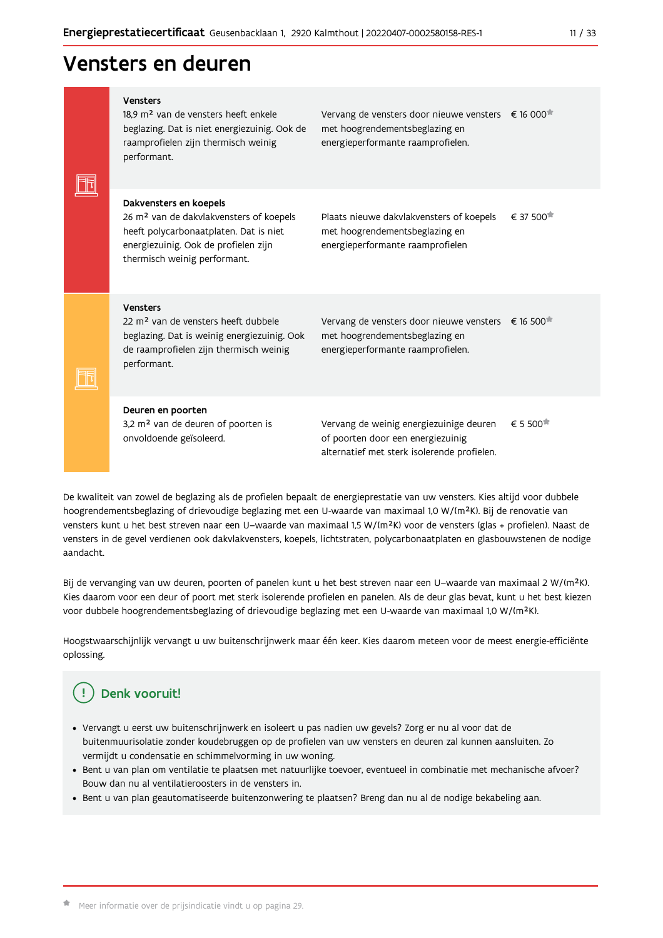# Vensters en deuren

|  | Vensters<br>18.9 m <sup>2</sup> van de vensters heeft enkele<br>beglazing. Dat is niet energiezuinig. Ook de<br>raamprofielen zijn thermisch weinig<br>performant.                              | Vervang de vensters door nieuwe vensters € 16 000 <sup>*</sup><br>met hoogrendementsbeglazing en<br>energieperformante raamprofielen. |                        |
|--|-------------------------------------------------------------------------------------------------------------------------------------------------------------------------------------------------|---------------------------------------------------------------------------------------------------------------------------------------|------------------------|
|  | Dakvensters en koepels<br>26 m <sup>2</sup> van de dakvlakvensters of koepels<br>heeft polycarbonaatplaten. Dat is niet<br>energiezuinig. Ook de profielen zijn<br>thermisch weinig performant. | Plaats nieuwe dakvlakvensters of koepels<br>met hoogrendementsbeglazing en<br>energieperformante raamprofielen                        | € 37 500 <sup>★</sup>  |
|  | Vensters<br>22 m <sup>2</sup> van de vensters heeft dubbele<br>beglazing. Dat is weinig energiezuinig. Ook<br>de raamprofielen zijn thermisch weinig<br>performant.                             | Vervang de vensters door nieuwe vensters € 16 500 <sup>*</sup><br>met hoogrendementsbeglazing en<br>energieperformante raamprofielen. |                        |
|  | Deuren en poorten<br>3,2 m <sup>2</sup> van de deuren of poorten is<br>onvoldoende geïsoleerd.                                                                                                  | Vervang de weinig energiezuinige deuren<br>of poorten door een energiezuinig<br>alternatief met sterk isolerende profielen.           | $\epsilon$ 5 500 $\pi$ |

De kwaliteit van zowel de beglazing als de profielen bepaalt de energieprestatie van uw vensters. Kies altijd voor dubbele hoogrendementsbeglazing of drievoudige beglazing met een U-waarde van maximaal 1,0 W/(m<sup>2</sup>K). Bij de renovatie van vensters kunt u het best streven naar een U-waarde van maximaal 1,5 W/(m<sup>2</sup>K) voor de vensters (glas + profielen). Naast de vensters in de gevel verdienen ook dakvlakvensters, koepels, lichtstraten, polycarbonaatplaten en glasbouwstenen de nodige aandacht.

Bij de vervanging van uw deuren, poorten of panelen kunt u het best streven naar een U-waarde van maximaal 2 W/(m<sup>2</sup>K). Kies daarom voor een deur of poort met sterk isolerende profielen en panelen. Als de deur glas bevat, kunt u het best kiezen voor dubbele hoogrendementsbeglazing of drievoudige beglazing met een U-waarde van maximaal 1,0 W/(m<sup>2</sup>K).

Hoogstwaarschijnlijk vervangt u uw buitenschrijnwerk maar één keer. Kies daarom meteen voor de meest energie-efficiënte oplossing.

#### Ţ Denk vooruit!

- · Vervangt u eerst uw buitenschrijnwerk en isoleert u pas nadien uw gevels? Zorg er nu al voor dat de buitenmuurisolatie zonder koudebruggen op de profielen van uw vensters en deuren zal kunnen aansluiten. Zo vermijdt u condensatie en schimmelvorming in uw woning.
- Bent u van plan om ventilatie te plaatsen met natuurlijke toevoer, eventueel in combinatie met mechanische afvoer? Bouw dan nu al ventilatieroosters in de vensters in.
- · Bent u van plan geautomatiseerde buitenzonwering te plaatsen? Breng dan nu al de nodige bekabeling aan.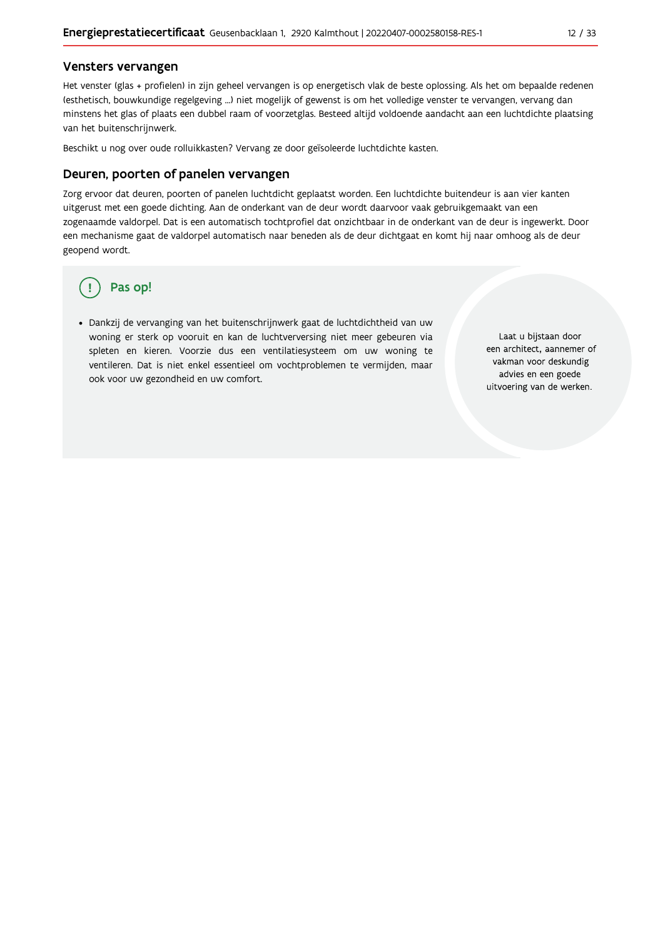#### Vensters vervangen

Het venster (glas + profielen) in zijn geheel vervangen is op energetisch vlak de beste oplossing. Als het om bepaalde redenen (esthetisch, bouwkundige regelgeving ...) niet mogelijk of gewenst is om het volledige venster te vervangen, vervang dan minstens het glas of plaats een dubbel raam of voorzetglas. Besteed altijd voldoende aandacht aan een luchtdichte plaatsing van het buitenschrijnwerk.

Beschikt u nog over oude rolluikkasten? Vervang ze door geïsoleerde luchtdichte kasten.

#### Deuren, poorten of panelen vervangen

Zorg ervoor dat deuren, poorten of panelen luchtdicht geplaatst worden. Een luchtdichte buitendeur is aan vier kanten uitgerust met een goede dichting. Aan de onderkant van de deur wordt daarvoor vaak gebruikgemaakt van een zogenaamde valdorpel. Dat is een automatisch tochtprofiel dat onzichtbaar in de onderkant van de deur is ingewerkt. Door een mechanisme gaat de valdorpel automatisch naar beneden als de deur dichtgaat en komt hij naar omhoog als de deur geopend wordt.

# Pas op!

· Dankzij de vervanging van het buitenschrijnwerk gaat de luchtdichtheid van uw woning er sterk op vooruit en kan de luchtverversing niet meer gebeuren via spleten en kieren. Voorzie dus een ventilatiesysteem om uw woning te ventileren. Dat is niet enkel essentieel om vochtproblemen te vermijden, maar ook voor uw gezondheid en uw comfort.

Laat u bijstaan door een architect, aannemer of vakman voor deskundig advies en een goede uitvoering van de werken.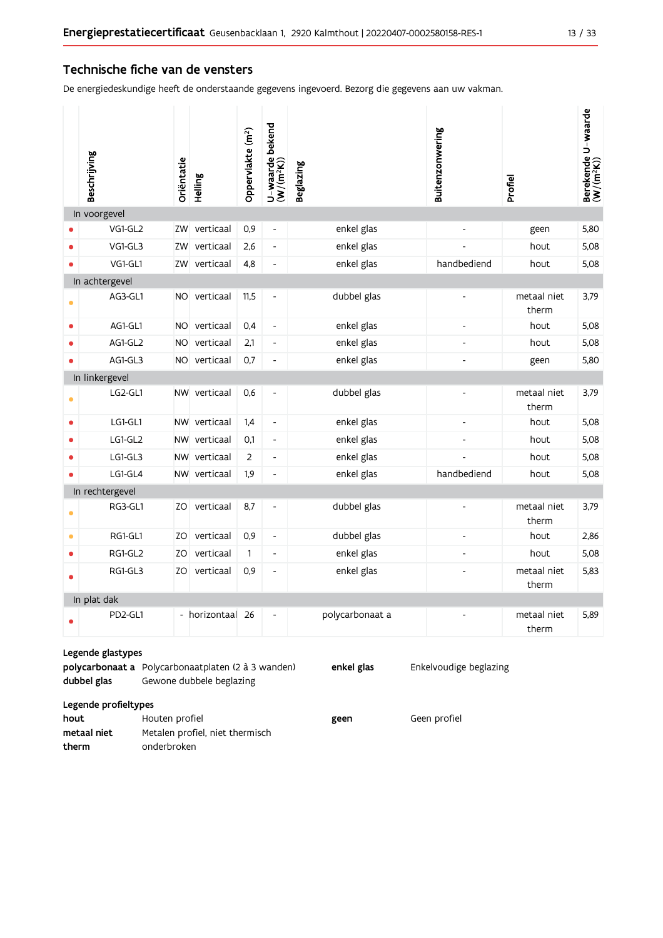#### Technische fiche van de vensters

De energiedeskundige heeft de onderstaande gegevens ingevoerd. Bezorg die gegevens aan uw vakman.

|           | Beschrijving    | Oriëntatie | Helling          | Oppervlakte (m <sup>2</sup> ) | U-waarde bekend<br>(W/(m <sup>2</sup> K)) | <b>Beglazing</b> | Buitenzonwering              | Profiel              | Berekende U-waarde<br>(W/(m <sup>2</sup> K)) |
|-----------|-----------------|------------|------------------|-------------------------------|-------------------------------------------|------------------|------------------------------|----------------------|----------------------------------------------|
|           | In voorgevel    |            |                  |                               |                                           |                  |                              |                      |                                              |
|           | VG1-GL2         |            | ZW verticaal     | 0,9                           | $\frac{1}{2}$                             | enkel glas       |                              | geen                 | 5,80                                         |
|           | VG1-GL3         | ZW         | verticaal        | 2,6                           | $\overline{\phantom{a}}$                  | enkel glas       |                              | hout                 | 5,08                                         |
|           | VG1-GL1         | ZW         | verticaal        | 4,8                           | $\qquad \qquad \blacksquare$              | enkel glas       | handbediend                  | hout                 | 5,08                                         |
|           | In achtergevel  |            |                  |                               |                                           |                  |                              |                      |                                              |
|           | AG3-GL1         |            | NO verticaal     | 11,5                          | $\qquad \qquad \blacksquare$              | dubbel glas      |                              | metaal niet<br>therm | 3,79                                         |
| $\bullet$ | AG1-GL1         | NO.        | verticaal        | 0,4                           | $\blacksquare$                            | enkel glas       | $\overline{a}$               | hout                 | 5,08                                         |
|           | AG1-GL2         | NO.        | verticaal        | 2,1                           | $\blacksquare$                            | enkel glas       | L,                           | hout                 | 5,08                                         |
|           | AG1-GL3         |            | NO verticaal     | 0,7                           | L,                                        | enkel glas       |                              | geen                 | 5,80                                         |
|           | In linkergevel  |            |                  |                               |                                           |                  |                              |                      |                                              |
|           | LG2-GL1         |            | NW verticaal     | 0,6                           | $\qquad \qquad \blacksquare$              | dubbel glas      | $\overline{a}$               | metaal niet<br>therm | 3,79                                         |
| $\bullet$ | LG1-GL1         |            | NW verticaal     | 1,4                           | $\overline{\phantom{a}}$                  | enkel glas       | $\blacksquare$               | hout                 | 5,08                                         |
|           | LG1-GL2         |            | NW verticaal     | 0,1                           | $\overline{\phantom{a}}$                  | enkel glas       |                              | hout                 | 5,08                                         |
|           | LG1-GL3         |            | NW verticaal     | 2                             | $\overline{\phantom{a}}$                  | enkel glas       |                              | hout                 | 5,08                                         |
|           | LG1-GL4         |            | NW verticaal     | 1,9                           | $\qquad \qquad \blacksquare$              | enkel glas       | handbediend                  | hout                 | 5,08                                         |
|           | In rechtergevel |            |                  |                               |                                           |                  |                              |                      |                                              |
|           | RG3-GL1         | ZO         | verticaal        | 8,7                           | $\qquad \qquad \blacksquare$              | dubbel glas      |                              | metaal niet<br>therm | 3,79                                         |
| $\bullet$ | RG1-GL1         | ZO         | verticaal        | 0,9                           | $\overline{\phantom{a}}$                  | dubbel glas      | $\qquad \qquad \blacksquare$ | hout                 | 2,86                                         |
| $\bullet$ | RG1-GL2         | ZO         | verticaal        | $\mathbf{1}$                  | $\overline{\phantom{a}}$                  | enkel glas       | $\overline{a}$               | hout                 | 5,08                                         |
|           | RG1-GL3         | ZO.        | verticaal        | 0,9                           | $\overline{\phantom{a}}$                  | enkel glas       |                              | metaal niet<br>therm | 5,83                                         |
|           | In plat dak     |            |                  |                               |                                           |                  |                              |                      |                                              |
|           | PD2-GL1         |            | - horizontaal 26 |                               | $\overline{a}$                            | polycarbonaat a  |                              | metaal niet<br>therm | 5,89                                         |

#### Legende glastypes

polycarbonaat a Polycarbonaatplaten (2 à 3 wanden) dubbel glas Gewone dubbele beglazing

enkel glas

Enkelvoudige beglazing

Legende profieltypes

| hout        | Houten profiel                  | geen | Geen profiel |
|-------------|---------------------------------|------|--------------|
| metaal niet | Metalen profiel, niet thermisch |      |              |
| therm       | onderbroken                     |      |              |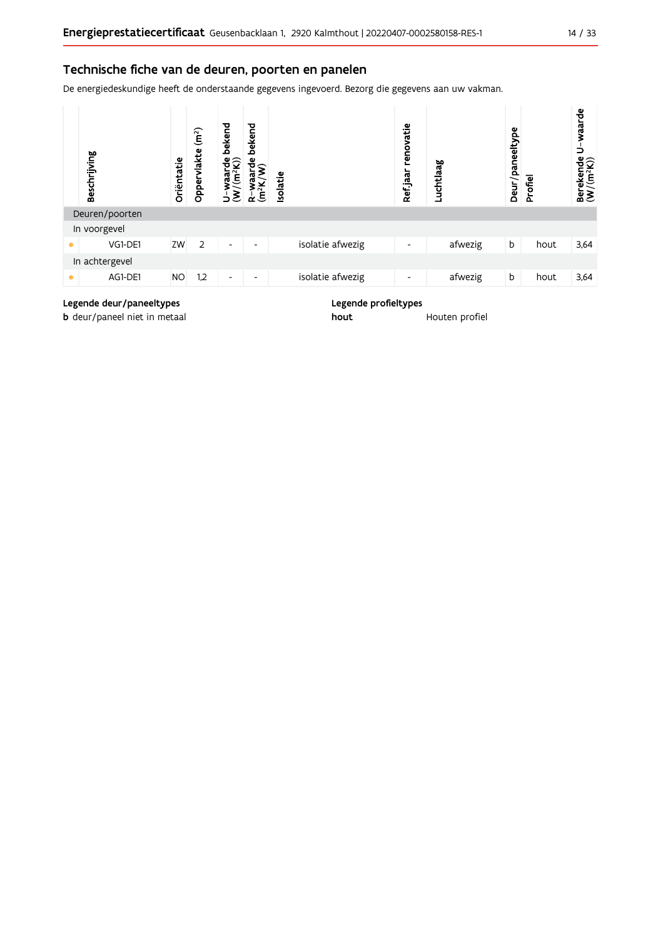### Technische fiche van de deuren, poorten en panelen

De energiedeskundige heeft de onderstaande gegevens ingevoerd. Bezorg die gegevens aan uw vakman.



#### Legende deur/paneeltypes

**b** deur/paneel niet in metaal

Legende profieltypes

hout

Houten profiel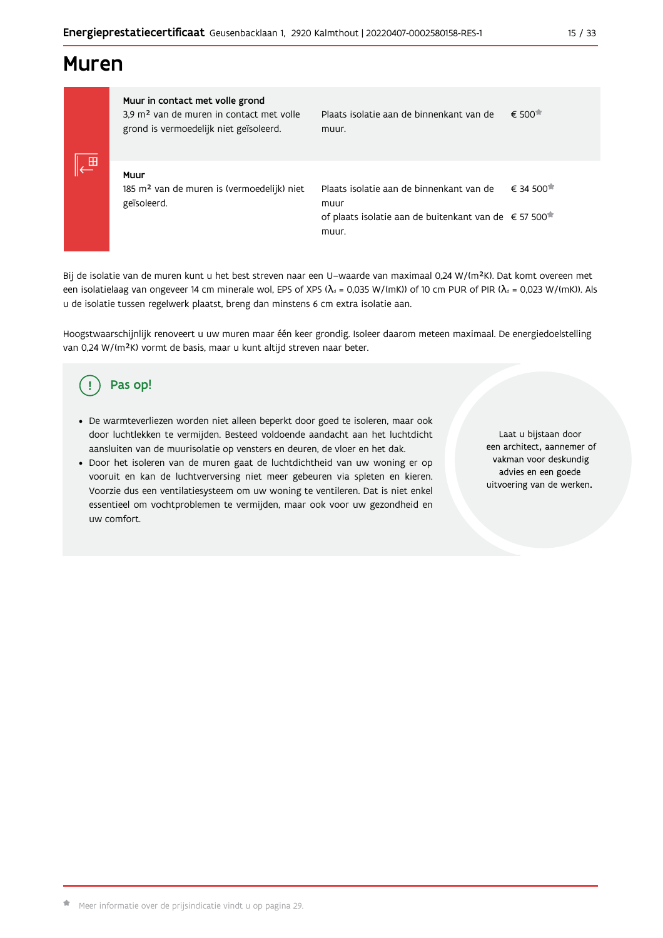# **Muren**

|  | Muur in contact met volle grond<br>3.9 m <sup>2</sup> van de muren in contact met volle<br>grond is vermoedelijk niet geïsoleerd. |  |  |  |  |  |  |  |
|--|-----------------------------------------------------------------------------------------------------------------------------------|--|--|--|--|--|--|--|
|  | Muur<br>185 m <sup>2</sup> van de muren is (vermoedelijk) niet<br>geïsoleerd.                                                     |  |  |  |  |  |  |  |

Plaats isolatie aan de binnenkant van de  $\epsilon$  500 $\pi$ muur.

Plaats isolatie aan de binnenkant van de € 34.500<sup> $#$ </sup> muur of plaats isolatie aan de buitenkant van de € 57 500<sup>\*</sup> muur.

Bij de isolatie van de muren kunt u het best streven naar een U-waarde van maximaal 0,24 W/(m<sup>2</sup>K). Dat komt overeen met een isolatielaag van ongeveer 14 cm minerale wol, EPS of XPS ( $\lambda_a$  = 0,035 W/(mK)) of 10 cm PUR of PIR ( $\lambda_a$  = 0,023 W/(mK)). Als u de isolatie tussen regelwerk plaatst, breng dan minstens 6 cm extra isolatie aan.

Hoogstwaarschijnlijk renoveert u uw muren maar één keer grondig. Isoleer daarom meteen maximaal. De energiedoelstelling van 0,24 W/(m<sup>2</sup>K) vormt de basis, maar u kunt altijd streven naar beter.

#### Pas op! Ţ

- · De warmteverliezen worden niet alleen beperkt door goed te isoleren, maar ook door luchtlekken te vermijden. Besteed voldoende aandacht aan het luchtdicht aansluiten van de muurisolatie op vensters en deuren, de vloer en het dak.
- · Door het isoleren van de muren gaat de luchtdichtheid van uw woning er op vooruit en kan de luchtverversing niet meer gebeuren via spleten en kieren. Voorzie dus een ventilatiesysteem om uw woning te ventileren. Dat is niet enkel essentieel om vochtproblemen te vermijden, maar ook voor uw gezondheid en uw comfort.

Laat u bijstaan door een architect, aannemer of vakman voor deskundig advies en een goede uitvoering van de werken.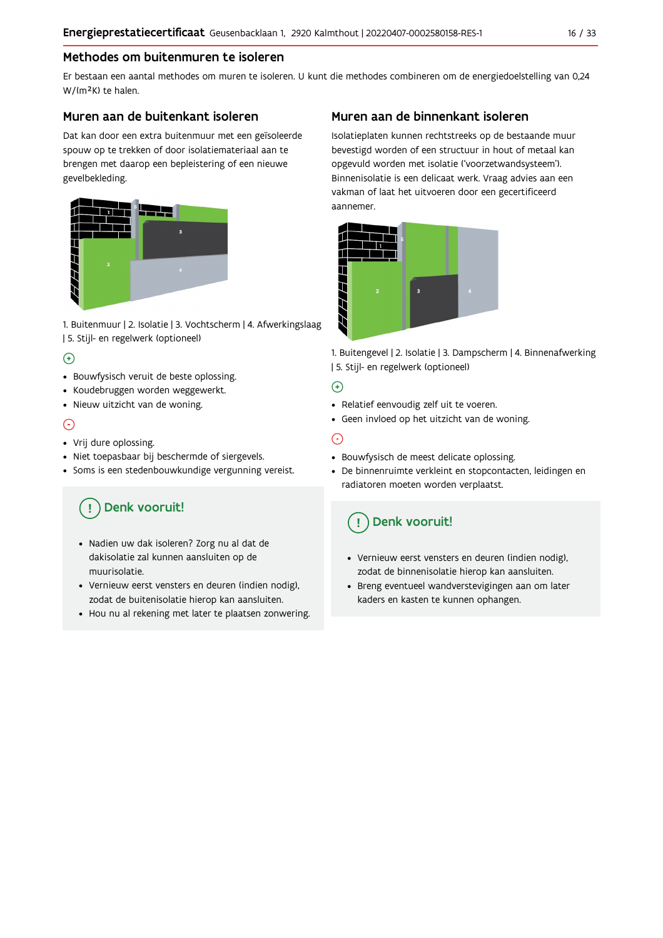#### Methodes om buitenmuren te isoleren

Er bestaan een aantal methodes om muren te isoleren. U kunt die methodes combineren om de energiedoelstelling van 0,24 W/(m<sup>2</sup>K) te halen.

#### Muren aan de buitenkant isoleren

Dat kan door een extra buitenmuur met een geïsoleerde spouw op te trekken of door isolatiemateriaal aan te brengen met daarop een bepleistering of een nieuwe gevelbekleding.



1. Buitenmuur | 2. Isolatie | 3. Vochtscherm | 4. Afwerkingslaag | 5. Stijl- en regelwerk (optioneel)

### $\bigoplus$

- Bouwfysisch veruit de beste oplossing.
- Koudebruggen worden weggewerkt.
- · Nieuw uitzicht van de woning.

#### $\odot$

#### • Vrij dure oplossing.

- · Niet toepasbaar bij beschermde of siergevels.
- Soms is een stedenbouwkundige vergunning vereist.

# Denk vooruit!

- · Nadien uw dak isoleren? Zorg nu al dat de dakisolatie zal kunnen aansluiten op de muurisolatie.
- · Vernieuw eerst vensters en deuren (indien nodig), zodat de buitenisolatie hierop kan aansluiten.
- Hou nu al rekening met later te plaatsen zonwering.

### Muren aan de binnenkant isoleren

Isolatieplaten kunnen rechtstreeks op de bestaande muur bevestigd worden of een structuur in hout of metaal kan opgevuld worden met isolatie ('voorzetwandsysteem'). Binnenisolatie is een delicaat werk. Vraag advies aan een vakman of laat het uitvoeren door een gecertificeerd aannemer



1. Buitengevel | 2. Isolatie | 3. Dampscherm | 4. Binnenafwerking | 5. Stijl- en regelwerk (optioneel)

#### $\bigoplus$

- Relatief eenvoudig zelf uit te voeren.
- Geen invloed op het uitzicht van de woning.

### ⊝

- Bouwfysisch de meest delicate oplossing.
- · De binnenruimte verkleint en stopcontacten, leidingen en radiatoren moeten worden verplaatst.

# Denk vooruit!

- Vernieuw eerst vensters en deuren (indien nodig), zodat de binnenisolatie hierop kan aansluiten.
- · Breng eventueel wandverstevigingen aan om later kaders en kasten te kunnen ophangen.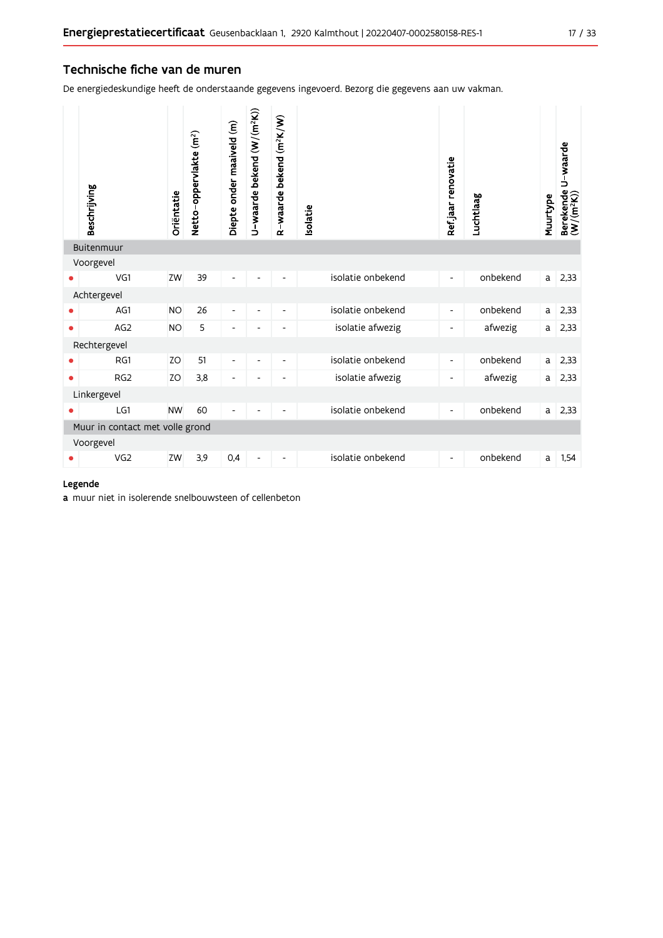#### Technische fiche van de muren

De energiedeskundige heeft de onderstaande gegevens ingevoerd. Bezorg die gegevens aan uw vakman.

|           | Beschrijving                    | Oriëntatie | Netto-oppervlakte (m <sup>2</sup> ) | Diepte onder maaiveld (m) | U-waarde bekend (W/(m <sup>2</sup> K)) | R-waarde bekend (m <sup>2</sup> K/W) | Isolatie          | Ref.jaar renovatie       | Luchtlaag | Muurtype     | Berekende U-waarde<br>(W/(m <sup>2</sup> K)) |
|-----------|---------------------------------|------------|-------------------------------------|---------------------------|----------------------------------------|--------------------------------------|-------------------|--------------------------|-----------|--------------|----------------------------------------------|
|           | Buitenmuur                      |            |                                     |                           |                                        |                                      |                   |                          |           |              |                                              |
|           | Voorgevel                       |            |                                     |                           |                                        |                                      |                   |                          |           |              |                                              |
|           | VG1                             | ZW         | 39                                  | $\overline{a}$            |                                        |                                      | isolatie onbekend | $\overline{\phantom{0}}$ | onbekend  | a            | 2,33                                         |
|           | Achtergevel                     |            |                                     |                           |                                        |                                      |                   |                          |           |              |                                              |
|           | AG1                             | <b>NO</b>  | 26                                  | $\overline{\phantom{a}}$  | $\overline{\phantom{a}}$               | $\overline{\phantom{a}}$             | isolatie onbekend | $\overline{\phantom{a}}$ | onbekend  | a            | 2,33                                         |
| $\bullet$ | AG <sub>2</sub>                 | <b>NO</b>  | 5                                   | ۰                         |                                        | $\overline{a}$                       | isolatie afwezig  | -                        | afwezig   | a            | 2,33                                         |
|           | Rechtergevel                    |            |                                     |                           |                                        |                                      |                   |                          |           |              |                                              |
|           | RG1                             | <b>ZO</b>  | 51                                  | $\overline{\phantom{a}}$  | $\overline{\phantom{a}}$               | $\overline{\phantom{a}}$             | isolatie onbekend | $\overline{\phantom{0}}$ | onbekend  | $\mathsf{a}$ | 2,33                                         |
| $\bullet$ | RG <sub>2</sub>                 | ZO         | 3,8                                 | $\overline{\phantom{a}}$  | $\overline{\phantom{a}}$               | $\overline{\phantom{a}}$             | isolatie afwezig  | -                        | afwezig   | a            | 2,33                                         |
|           | Linkergevel                     |            |                                     |                           |                                        |                                      |                   |                          |           |              |                                              |
|           | LG1                             | <b>NW</b>  | 60                                  | L,                        |                                        |                                      | isolatie onbekend | $\overline{\phantom{0}}$ | onbekend  | a            | 2,33                                         |
|           | Muur in contact met volle grond |            |                                     |                           |                                        |                                      |                   |                          |           |              |                                              |
|           | Voorgevel                       |            |                                     |                           |                                        |                                      |                   |                          |           |              |                                              |
|           | VG2                             | ZW         | 3,9                                 | 0,4                       | $\overline{\phantom{a}}$               | $\overline{\phantom{a}}$             | isolatie onbekend | $\overline{\phantom{a}}$ | onbekend  | a            | 1,54                                         |

#### Legende

a muur niet in isolerende snelbouwsteen of cellenbeton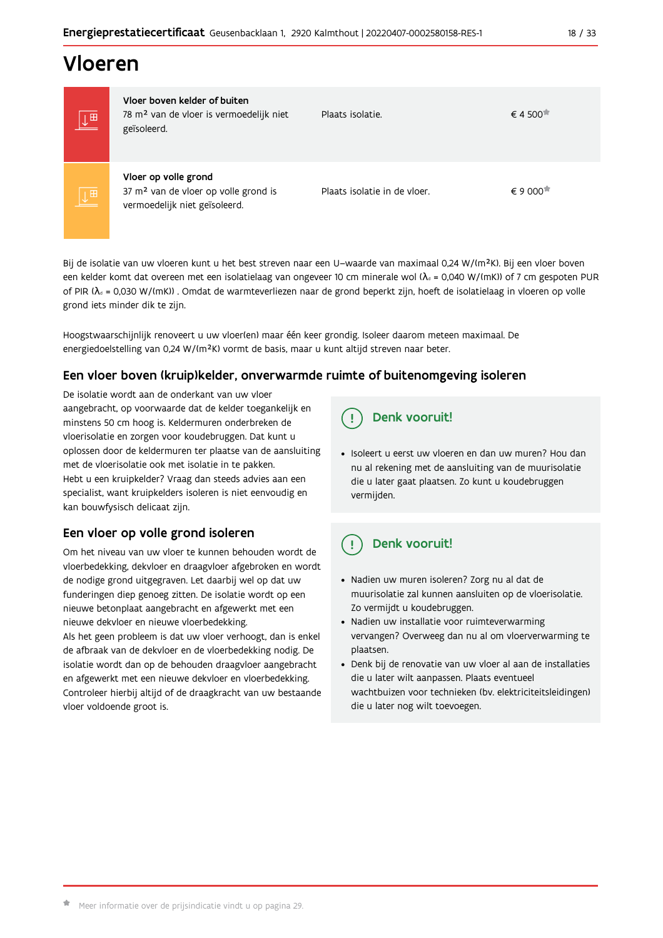# Vloeren

| $\underline{\downarrow}$ $\boxplus$ | Vloer boven kelder of buiten<br>78 m <sup>2</sup> van de vloer is vermoedelijk niet<br>geïsoleerd.        | Plaats isolatie.             | € 4 500 <sup><math>\overline{•}</math></sup> |
|-------------------------------------|-----------------------------------------------------------------------------------------------------------|------------------------------|----------------------------------------------|
| $\overline{\mathsf{L}^{\boxplus}}$  | Vloer op volle grond<br>37 m <sup>2</sup> van de vloer op volle grond is<br>vermoedelijk niet geïsoleerd. | Plaats isolatie in de vloer. | $\epsilon$ 9 000 $\pi$                       |

Bij de isolatie van uw vloeren kunt u het best streven naar een U-waarde van maximaal 0,24 W/(m<sup>2</sup>K). Bij een vloer boven een kelder komt dat overeen met een isolatielaag van ongeveer 10 cm minerale wol ( $\lambda_d$  = 0,040 W/(mK)) of 7 cm gespoten PUR of PIR ( $\lambda_4$  = 0,030 W/(mK)). Omdat de warmteverliezen naar de grond beperkt zijn, hoeft de isolatielaag in vloeren op volle grond iets minder dik te zijn.

Hoogstwaarschijnlijk renoveert u uw vloer(en) maar één keer grondig. Isoleer daarom meteen maximaal. De energiedoelstelling van 0,24 W/(m<sup>2</sup>K) vormt de basis, maar u kunt altijd streven naar beter.

#### Een vloer boven (kruip) kelder, onverwarmde ruimte of buitenomgeving isoleren

De isolatie wordt aan de onderkant van uw vloer aangebracht, op voorwaarde dat de kelder toegankelijk en minstens 50 cm hoog is. Keldermuren onderbreken de vloerisolatie en zorgen voor koudebruggen. Dat kunt u oplossen door de keldermuren ter plaatse van de aansluiting met de vloerisolatie ook met isolatie in te pakken. Hebt u een kruipkelder? Vraag dan steeds advies aan een specialist, want kruipkelders isoleren is niet eenvoudig en kan bouwfysisch delicaat zijn.

### Een vloer op volle grond isoleren

Om het niveau van uw vloer te kunnen behouden wordt de vloerbedekking, dekvloer en draagvloer afgebroken en wordt de nodige grond uitgegraven. Let daarbij wel op dat uw funderingen diep genoeg zitten. De isolatie wordt op een nieuwe betonplaat aangebracht en afgewerkt met een nieuwe dekvloer en nieuwe vloerbedekking.

Als het geen probleem is dat uw vloer verhoogt, dan is enkel de afbraak van de dekvloer en de vloerbedekking nodig. De isolatie wordt dan op de behouden draagvloer aangebracht en afgewerkt met een nieuwe dekvloer en vloerbedekking. Controleer hierbij altijd of de draagkracht van uw bestaande vloer voldoende groot is.

#### Denk vooruit! Ţ

· Isoleert u eerst uw vloeren en dan uw muren? Hou dan nu al rekening met de aansluiting van de muurisolatie die u later gaat plaatsen. Zo kunt u koudebruggen vermijden.

#### Ţ Denk vooruit!

- · Nadien uw muren isoleren? Zorg nu al dat de muurisolatie zal kunnen aansluiten op de vloerisolatie. Zo vermijdt u koudebruggen.
- Nadien uw installatie voor ruimteverwarming vervangen? Overweeg dan nu al om vloerverwarming te plaatsen.
- · Denk bij de renovatie van uw vloer al aan de installaties die u later wilt aanpassen. Plaats eventueel wachtbuizen voor technieken (bv. elektriciteitsleidingen) die u later nog wilt toevoegen.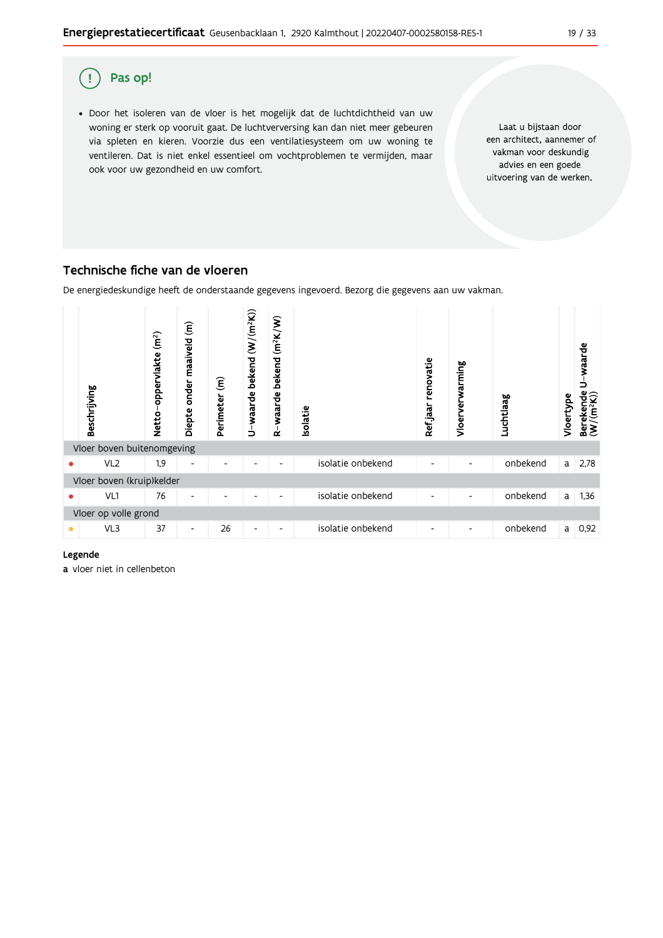

### Technische fiche van de vloeren

De energiedeskundige heeft de onderstaande gegevens ingevoerd. Bezorg die gegevens aan uw vakman.



#### Legende

a vloer niet in cellenbeton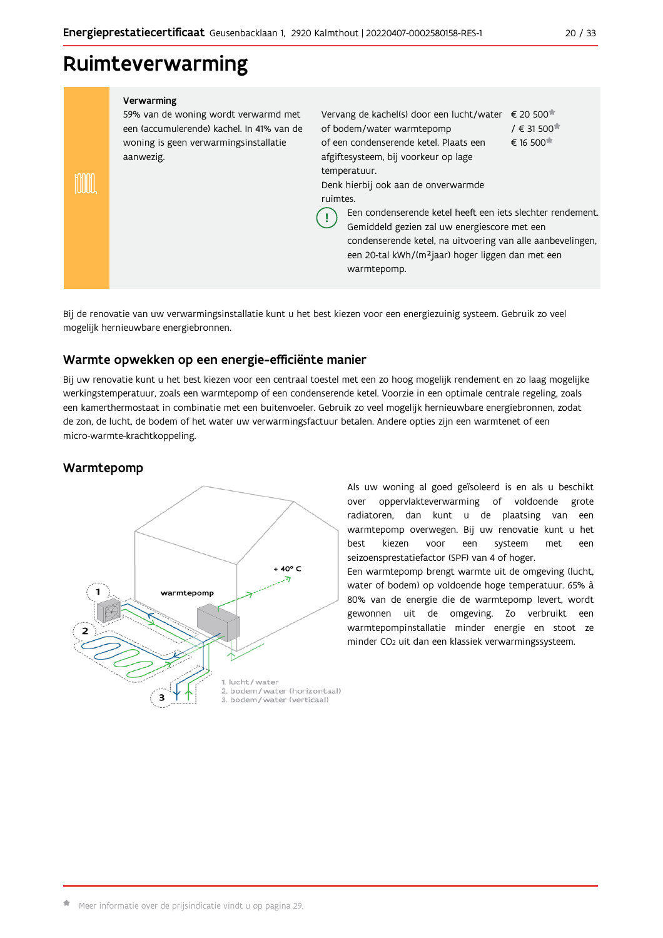# Ruimteverwarming

#### Verwarming 59% van de woning wordt verwarmd met Vervang de kachel(s) door een lucht/water € 20 500<sup>\*</sup> een (accumulerende) kachel. In 41% van de of bodem/water warmtepomp / € 31 500<sup> $#$ </sup> woning is geen verwarmingsinstallatie of een condenserende ketel. Plaats een € 16 500<sup>★</sup> aanwezig. afgiftesysteem, bij voorkeur op lage temperatuur. **TOOOD** Denk hierbij ook aan de onverwarmde ruimtes Een condenserende ketel heeft een iets slechter rendement. Ţ Gemiddeld gezien zal uw energiescore met een condenserende ketel, na uitvoering van alle aanbevelingen, een 20-tal kWh/(m<sup>2</sup>jaar) hoger liggen dan met een warmtepomp.

Bij de renovatie van uw verwarmingsinstallatie kunt u het best kiezen voor een energiezuinig systeem. Gebruik zo veel mogelijk hernieuwbare energiebronnen.

### Warmte opwekken op een energie-efficiënte manier

Bij uw renovatie kunt u het best kiezen voor een centraal toestel met een zo hoog mogelijk rendement en zo laag mogelijke werkingstemperatuur, zoals een warmtepomp of een condenserende ketel. Voorzie in een optimale centrale regeling, zoals een kamerthermostaat in combinatie met een buitenvoeler. Gebruik zo veel mogelijk hernieuwbare energiebronnen, zodat de zon, de lucht, de bodem of het water uw verwarmingsfactuur betalen. Andere opties zijn een warmtenet of een micro-warmte-krachtkoppeling.

### Warmtepomp



Als uw woning al goed geïsoleerd is en als u beschikt over oppervlakteverwarming of voldoende grote radiatoren, dan kunt u de plaatsing van een warmtepomp overwegen. Bij uw renovatie kunt u het best kiezen voor een systeem met een seizoensprestatiefactor (SPF) van 4 of hoger. Een warmtepomp brengt warmte uit de omgeving (lucht, water of bodem) op voldoende hoge temperatuur. 65% à 80% van de energie die de warmtepomp levert, wordt gewonnen uit de omgeving. Zo verbruikt een warmtepompinstallatie minder energie en stoot ze minder CO<sub>2</sub> uit dan een klassiek verwarmingssysteem.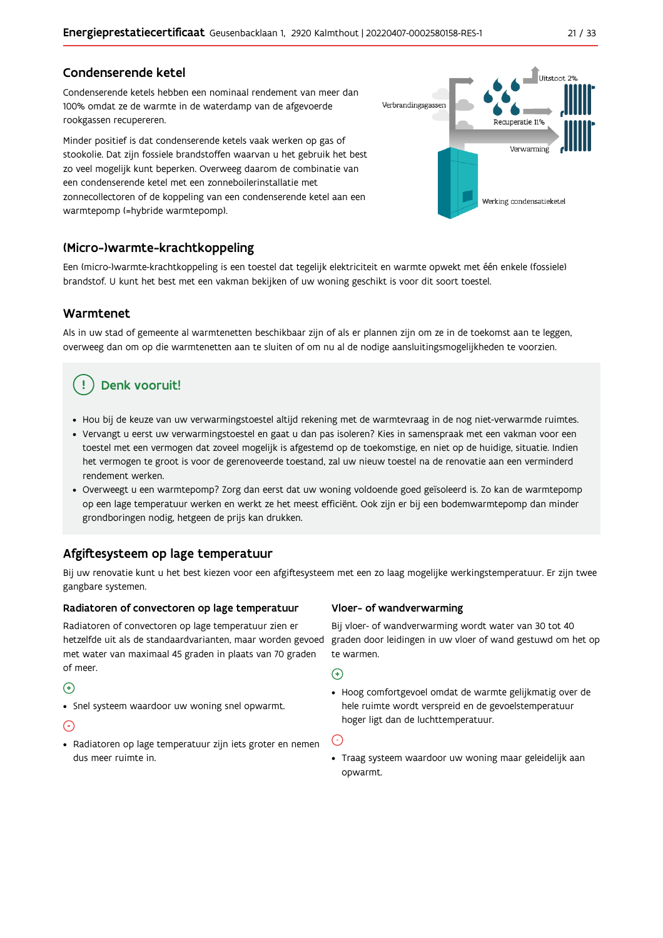### Condenserende ketel

Condenserende ketels hebben een nominaal rendement van meer dan 100% omdat ze de warmte in de waterdamp van de afgevoerde rookgassen recupereren.

Minder positief is dat condenserende ketels vaak werken op gas of stookolie. Dat zijn fossiele brandstoffen waarvan u het gebruik het best zo veel mogelijk kunt beperken. Overweeg daarom de combinatie van een condenserende ketel met een zonneboilerinstallatie met zonnecollectoren of de koppeling van een condenserende ketel aan een warmtepomp (=hybride warmtepomp).



#### (Micro-)warmte-krachtkoppeling

Een (micro-)warmte-krachtkoppeling is een toestel dat tegelijk elektriciteit en warmte opwekt met één enkele (fossiele) brandstof. U kunt het best met een vakman bekijken of uw woning geschikt is voor dit soort toestel.

#### Warmtenet

Als in uw stad of gemeente al warmtenetten beschikbaar zijn of als er plannen zijn om ze in de toekomst aan te leggen, overweeg dan om op die warmtenetten aan te sluiten of om nu al de nodige aansluitingsmogelijkheden te voorzien.

# Denk vooruit!

- · Hou bij de keuze van uw verwarmingstoestel altijd rekening met de warmtevraag in de nog niet-verwarmde ruimtes.
- Vervangt u eerst uw verwarmingstoestel en gaat u dan pas isoleren? Kies in samenspraak met een vakman voor een toestel met een vermogen dat zoveel mogelijk is afgestemd op de toekomstige, en niet op de huidige, situatie. Indien het vermogen te groot is voor de gerenoveerde toestand, zal uw nieuw toestel na de renovatie aan een verminderd rendement werken
- · Overweegt u een warmtepomp? Zorg dan eerst dat uw woning voldoende goed geïsoleerd is. Zo kan de warmtepomp op een lage temperatuur werken en werkt ze het meest efficiënt. Ook zijn er bij een bodemwarmtepomp dan minder grondboringen nodig, hetgeen de prijs kan drukken.

### Afgiftesysteem op lage temperatuur

Bij uw renovatie kunt u het best kiezen voor een afgiftesysteem met een zo laag mogelijke werkingstemperatuur. Er zijn twee gangbare systemen.

#### Radiatoren of convectoren op lage temperatuur

Radiatoren of convectoren op lage temperatuur zien er hetzelfde uit als de standaardvarianten, maar worden gevoed met water van maximaal 45 graden in plaats van 70 graden of meer.

#### $\bigoplus$

• Snel systeem waardoor uw woning snel opwarmt.

#### $\bigodot$

· Radiatoren op lage temperatuur zijn iets groter en nemen dus meer ruimte in.

#### Vloer- of wandverwarming

Bij vloer- of wandverwarming wordt water van 30 tot 40 graden door leidingen in uw vloer of wand gestuwd om het op te warmen.

 $\bigodot$ 

• Hoog comfortgevoel omdat de warmte gelijkmatig over de hele ruimte wordt verspreid en de gevoelstemperatuur hoger ligt dan de luchttemperatuur.

 $\bigodot$ 

· Traag systeem waardoor uw woning maar geleidelijk aan opwarmt.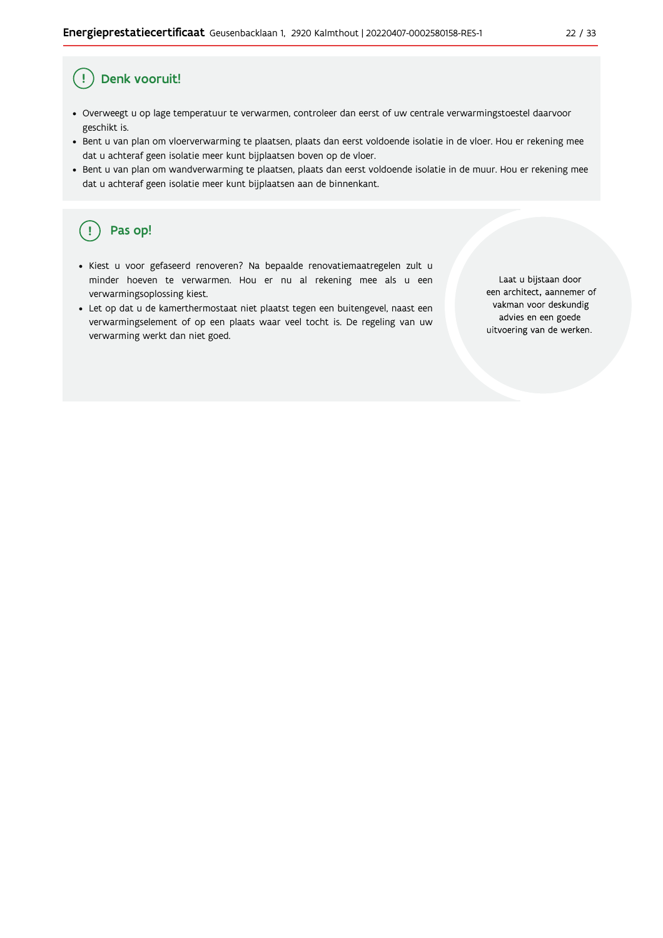#### $22/33$

#### $\mathbf{I}$ Denk vooruit!

- · Overweegt u op lage temperatuur te verwarmen, controleer dan eerst of uw centrale verwarmingstoestel daarvoor geschikt is.
- · Bent u van plan om vloerverwarming te plaatsen, plaats dan eerst voldoende isolatie in de vloer. Hou er rekening mee dat u achteraf geen isolatie meer kunt bijplaatsen boven op de vloer.
- · Bent u van plan om wandverwarming te plaatsen, plaats dan eerst voldoende isolatie in de muur. Hou er rekening mee dat u achteraf geen isolatie meer kunt bijplaatsen aan de binnenkant.

#### ้ <u>เ</u> Pas op!

- · Kiest u voor gefaseerd renoveren? Na bepaalde renovatiemaatregelen zult u minder hoeven te verwarmen. Hou er nu al rekening mee als u een verwarmingsoplossing kiest.
- · Let op dat u de kamerthermostaat niet plaatst tegen een buitengevel, naast een verwarmingselement of op een plaats waar veel tocht is. De regeling van uw verwarming werkt dan niet goed.

Laat u bijstaan door een architect, aannemer of vakman voor deskundig advies en een goede uitvoering van de werken.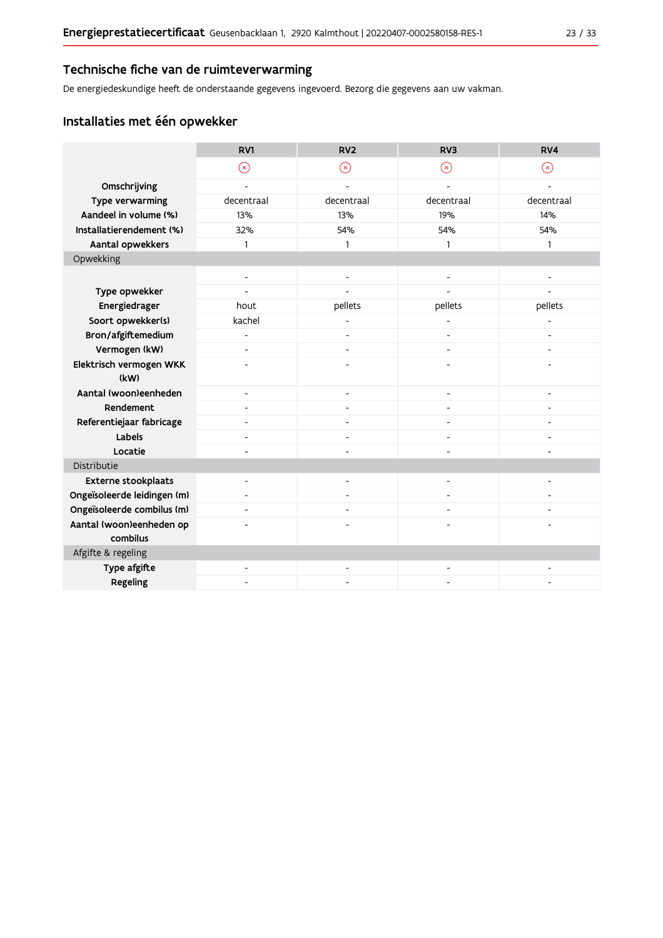#### Technische fiche van de ruimteverwarming

De energiedeskundige heeft de onderstaande gegevens ingevoerd. Bezorg die gegevens aan uw vakman.

### Installaties met één opwekker

|                                      | RV1                      | RV <sub>2</sub>              | RV <sub>3</sub>              | RV4            |
|--------------------------------------|--------------------------|------------------------------|------------------------------|----------------|
|                                      | $\circledR$              | $(\mathsf{x})$               | $(\mathsf{x})$               | $(\star)$      |
| Omschrijving                         |                          |                              |                              |                |
| Type verwarming                      | decentraal               | decentraal                   | decentraal                   | decentraal     |
| Aandeel in volume (%)                | 13%                      | 13%                          | 19%                          | 14%            |
| Installatierendement (%)             | 32%                      | 54%                          | 54%                          | 54%            |
| Aantal opwekkers                     | $\mathbf{1}$             | 1                            | 1                            | 1              |
| Opwekking                            |                          |                              |                              |                |
|                                      | $\overline{\phantom{a}}$ | $\overline{\phantom{0}}$     |                              |                |
| Type opwekker                        |                          |                              |                              |                |
| Energiedrager                        | hout                     | pellets                      | pellets                      | pellets        |
| Soort opwekker(s)                    | kachel                   |                              |                              |                |
| Bron/afgiftemedium                   | $\blacksquare$           | $\qquad \qquad \blacksquare$ | $\blacksquare$               |                |
| Vermogen (kW)                        | $\overline{\phantom{a}}$ | $\overline{\phantom{0}}$     | $\qquad \qquad \blacksquare$ |                |
| Elektrisch vermogen WKK              |                          |                              |                              |                |
| (kW)                                 |                          |                              |                              |                |
| Aantal (woon)eenheden                | $\blacksquare$           | $\overline{\phantom{a}}$     |                              |                |
| Rendement                            | $\overline{\phantom{a}}$ | $\overline{\phantom{a}}$     | $\blacksquare$               |                |
| Referentiejaar fabricage             | $\blacksquare$           | ٠                            | ٠                            |                |
| Labels                               |                          |                              |                              |                |
| Locatie                              |                          |                              |                              |                |
| Distributie                          |                          |                              |                              |                |
| <b>Externe stookplaats</b>           | $\overline{\phantom{a}}$ | $\qquad \qquad \blacksquare$ | $\blacksquare$               | $\overline{a}$ |
| Ongeïsoleerde leidingen (m)          |                          |                              |                              |                |
| Ongeïsoleerde combilus (m)           | $\blacksquare$           |                              |                              |                |
| Aantal (woon)eenheden op<br>combilus |                          |                              |                              |                |
| Afgifte & regeling                   |                          |                              |                              |                |
| Type afgifte                         | $\blacksquare$           | ÷,                           |                              |                |
| Regeling                             |                          |                              |                              |                |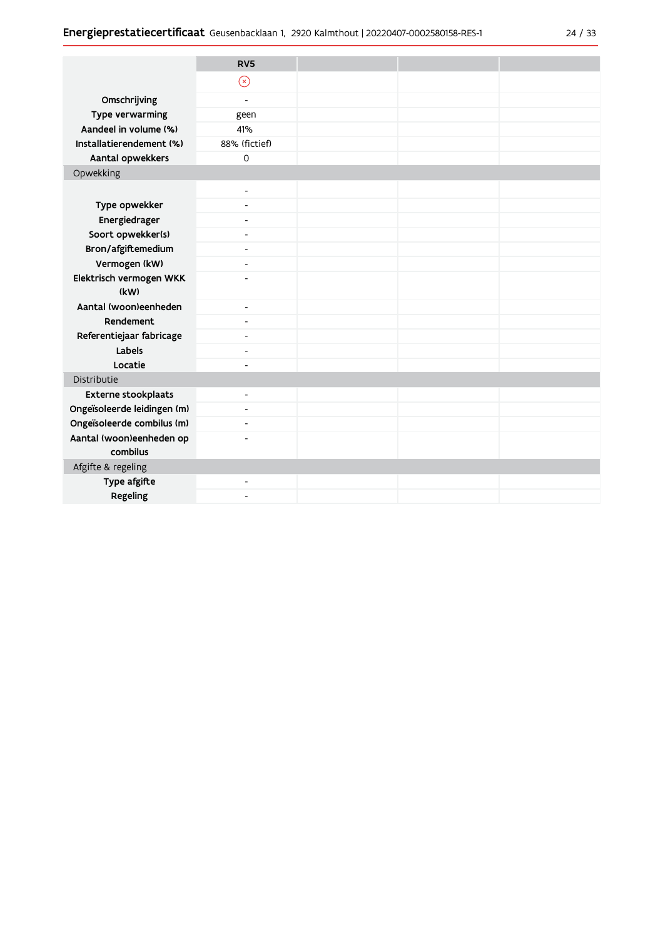|                                      | RV <sub>5</sub>          |  |  |
|--------------------------------------|--------------------------|--|--|
|                                      | $\odot$                  |  |  |
| Omschrijving                         | $\overline{\phantom{a}}$ |  |  |
| Type verwarming                      | geen                     |  |  |
| Aandeel in volume (%)                | 41%                      |  |  |
| Installatierendement (%)             | 88% (fictief)            |  |  |
| Aantal opwekkers                     | $\Omega$                 |  |  |
| Opwekking                            |                          |  |  |
|                                      | $\blacksquare$           |  |  |
| Type opwekker                        | $\overline{\phantom{a}}$ |  |  |
| Energiedrager                        | $\overline{\phantom{a}}$ |  |  |
| Soort opwekker(s)                    | $\overline{\phantom{a}}$ |  |  |
| Bron/afgiftemedium                   | $\blacksquare$           |  |  |
| Vermogen (kW)                        | $\overline{a}$           |  |  |
| Elektrisch vermogen WKK              | $\overline{a}$           |  |  |
| (kW)                                 |                          |  |  |
| Aantal (woon)eenheden                | $\overline{\phantom{a}}$ |  |  |
| Rendement                            | $\overline{\phantom{a}}$ |  |  |
| Referentiejaar fabricage             | $\blacksquare$           |  |  |
| Labels                               | $\overline{\phantom{a}}$ |  |  |
| Locatie                              | $\overline{\phantom{a}}$ |  |  |
| Distributie                          |                          |  |  |
| Externe stookplaats                  | $\blacksquare$           |  |  |
| Ongeïsoleerde leidingen (m)          | $\overline{\phantom{a}}$ |  |  |
| Ongeïsoleerde combilus (m)           | $\overline{\phantom{a}}$ |  |  |
| Aantal (woon)eenheden op<br>combilus | $\overline{\phantom{a}}$ |  |  |
| Afgifte & regeling                   |                          |  |  |
| Type afgifte                         | $\overline{\phantom{a}}$ |  |  |
| Regeling                             | $\overline{\phantom{a}}$ |  |  |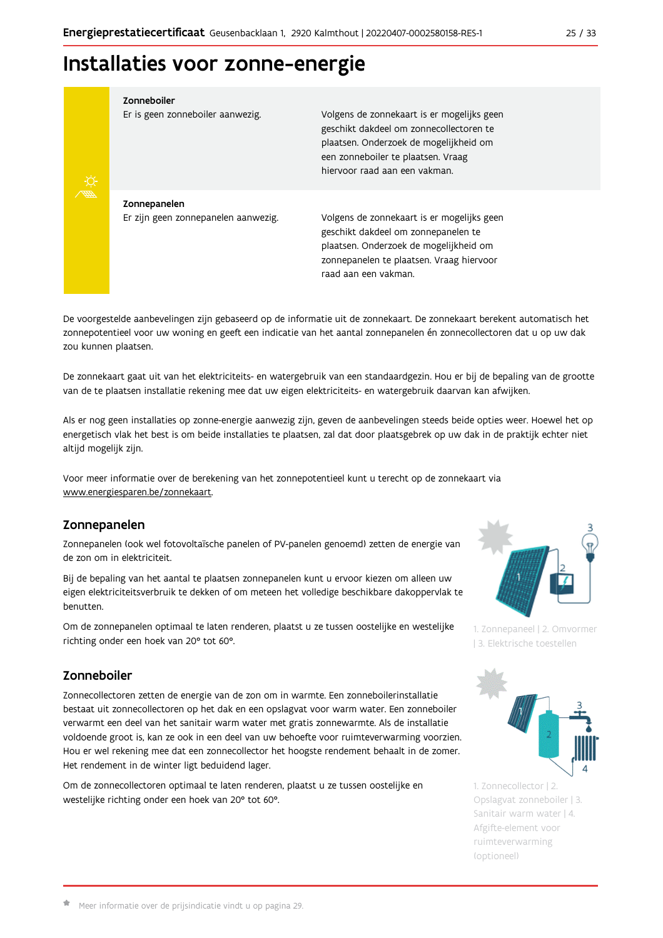# Installaties voor zonne-energie

Zonneboiler



Volgens de zonnekaart is er mogelijks geen geschikt dakdeel om zonnecollectoren te plaatsen. Onderzoek de mogelijkheid om een zonneboiler te plaatsen. Vraag hiervoor raad aan een vakman.

Zonnepanelen Er zijn geen zonnepanelen aanwezig.

Er is geen zonneboiler aanwezig.

Volgens de zonnekaart is er mogelijks geen geschikt dakdeel om zonnepanelen te plaatsen. Onderzoek de mogelijkheid om zonnepanelen te plaatsen. Vraag hiervoor raad aan een vakman.

De voorgestelde aanbevelingen zijn gebaseerd op de informatie uit de zonnekaart. De zonnekaart berekent automatisch het zonnepotentieel voor uw woning en geeft een indicatie van het aantal zonnepanelen én zonnecollectoren dat u op uw dak zou kunnen plaatsen.

De zonnekaart gaat uit van het elektriciteits- en watergebruik van een standaardgezin. Hou er bij de bepaling van de grootte van de te plaatsen installatie rekening mee dat uw eigen elektriciteits- en watergebruik daarvan kan afwijken.

Als er nog geen installaties op zonne-energie aanwezig zijn, geven de aanbevelingen steeds beide opties weer. Hoewel het op energetisch vlak het best is om beide installaties te plaatsen, zal dat door plaatsgebrek op uw dak in de praktijk echter niet altijd mogelijk zijn.

Voor meer informatie over de berekening van het zonnepotentieel kunt u terecht op de zonnekaart via www.energiesparen.be/zonnekaart.

### Zonnepanelen

Zonnepanelen (ook wel fotovoltaïsche panelen of PV-panelen genoemd) zetten de energie van de zon om in elektriciteit.

Bij de bepaling van het aantal te plaatsen zonnepanelen kunt u ervoor kiezen om alleen uw eigen elektriciteitsverbruik te dekken of om meteen het volledige beschikbare dakoppervlak te benutten.

Om de zonnepanelen optimaal te laten renderen, plaatst u ze tussen oostelijke en westelijke richting onder een hoek van 20° tot 60°.

### Zonneboiler

Zonnecollectoren zetten de energie van de zon om in warmte. Een zonneboilerinstallatie bestaat uit zonnecollectoren op het dak en een opslagvat voor warm water. Een zonneboiler verwarmt een deel van het sanitair warm water met gratis zonnewarmte. Als de installatie voldoende groot is, kan ze ook in een deel van uw behoefte voor ruimteverwarming voorzien. Hou er wel rekening mee dat een zonnecollector het hoogste rendement behaalt in de zomer. Het rendement in de winter ligt beduidend lager.

Om de zonnecollectoren optimaal te laten renderen, plaatst u ze tussen oostelijke en westelijke richting onder een hoek van 20° tot 60°.



1. Zonnepaneel | 2. Omvormer 13. Elektrische toestellen



1. Zonnecollector | 2. Opslagvat zonneboiler | 3. Sanitair warm water | 4. Afgifte-element voor ruimteverwarming (optioneel)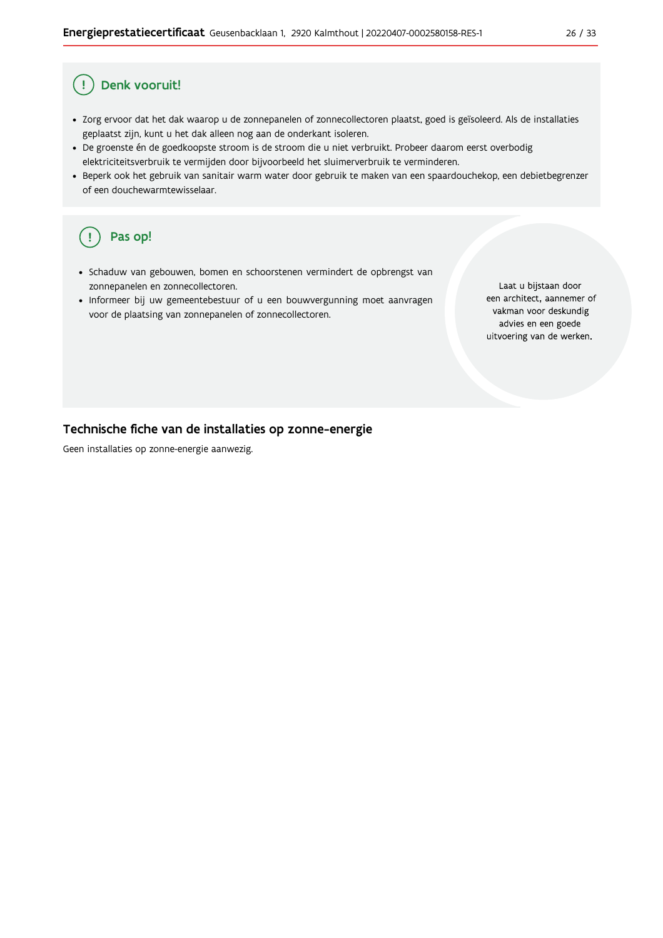#### Ţ Denk vooruit!

- · Zorg ervoor dat het dak waarop u de zonnepanelen of zonnecollectoren plaatst, goed is geïsoleerd. Als de installaties geplaatst zijn, kunt u het dak alleen nog aan de onderkant isoleren.
- · De groenste én de goedkoopste stroom is de stroom die u niet verbruikt. Probeer daarom eerst overbodig elektriciteitsverbruik te vermijden door bijvoorbeeld het sluimerverbruik te verminderen.
- · Beperk ook het gebruik van sanitair warm water door gebruik te maken van een spaardouchekop, een debietbegrenzer of een douchewarmtewisselaar.

#### Pas op! ( !

- · Schaduw van gebouwen, bomen en schoorstenen vermindert de opbrengst van zonnepanelen en zonnecollectoren.
- Informeer bij uw gemeentebestuur of u een bouwvergunning moet aanvragen voor de plaatsing van zonnepanelen of zonnecollectoren.

Laat u bijstaan door een architect, aannemer of vakman voor deskundig advies en een goede uitvoering van de werken.

#### Technische fiche van de installaties op zonne-energie

Geen installaties op zonne-energie aanwezig.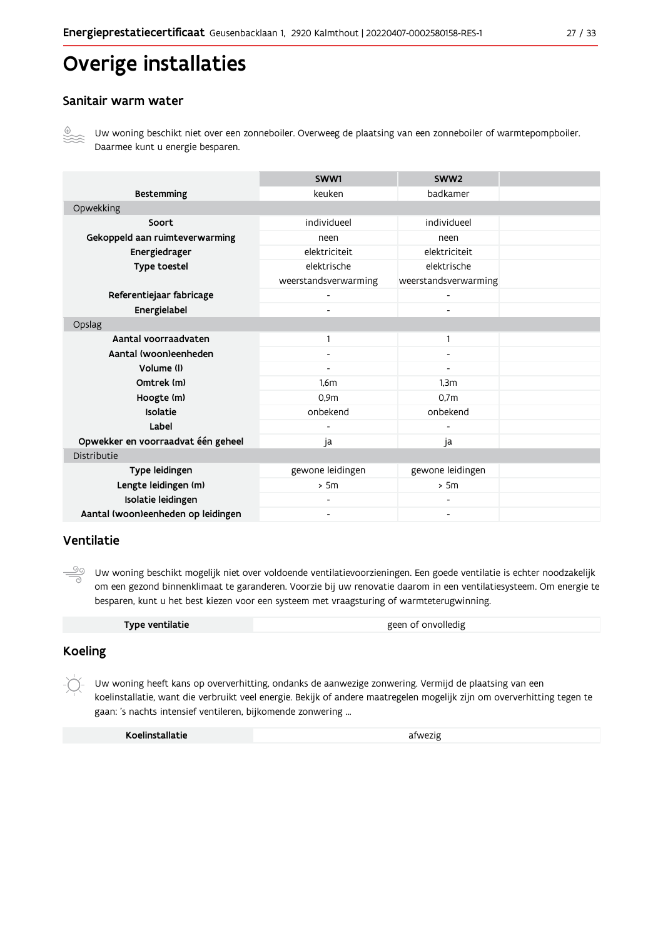# Overige installaties

#### Sanitair warm water



Uw woning beschikt niet over een zonneboiler. Overweeg de plaatsing van een zonneboiler of warmtepompboiler. Daarmee kunt u energie besparen.

|                                    | SWW1                     | SWW <sub>2</sub>             |  |
|------------------------------------|--------------------------|------------------------------|--|
| <b>Bestemming</b>                  | keuken                   | badkamer                     |  |
| Opwekking                          |                          |                              |  |
| Soort                              | individueel              | individueel                  |  |
| Gekoppeld aan ruimteverwarming     | neen                     | neen                         |  |
| Energiedrager                      | elektriciteit            | elektriciteit                |  |
| Type toestel                       | elektrische              | elektrische                  |  |
|                                    | weerstandsverwarming     | weerstandsverwarming         |  |
| Referentiejaar fabricage           |                          |                              |  |
| Energielabel                       |                          |                              |  |
| Opslag                             |                          |                              |  |
| Aantal voorraadvaten               |                          | $\mathbf{1}$                 |  |
| Aantal (woon)eenheden              | $\overline{\phantom{a}}$ | -                            |  |
| Volume (I)                         | $\blacksquare$           | $\overline{\phantom{a}}$     |  |
| Omtrek (m)                         | 1,6m                     | 1,3m                         |  |
| Hoogte (m)                         | 0.9 <sub>m</sub>         | 0.7 <sub>m</sub>             |  |
| Isolatie                           | onbekend                 | onbekend                     |  |
| Label                              |                          |                              |  |
| Opwekker en voorraadvat één geheel | ja                       | ja                           |  |
| Distributie                        |                          |                              |  |
| Type leidingen                     | gewone leidingen         | gewone leidingen             |  |
| Lengte leidingen (m)               | > 5m                     | > 5m                         |  |
| Isolatie leidingen                 | $\overline{\phantom{a}}$ | $\qquad \qquad \blacksquare$ |  |
| Aantal (woon)eenheden op leidingen | $\overline{\phantom{a}}$ | $\qquad \qquad \blacksquare$ |  |

#### Ventilatie

 $\frac{50}{1}$ Uw woning beschikt mogelijk niet over voldoende ventilatievoorzieningen. Een goede ventilatie is echter noodzakelijk om een gezond binnenklimaat te garanderen. Voorzie bij uw renovatie daarom in een ventilatiesysteem. Om energie te besparen, kunt u het best kiezen voor een systeem met vraagsturing of warmteterugwinning.

| Type ventilatie | geen of onvolledig |
|-----------------|--------------------|
|-----------------|--------------------|

### **Koeling**

Uw woning heeft kans op oververhitting, ondanks de aanwezige zonwering. Vermijd de plaatsing van een koelinstallatie, want die verbruikt veel energie. Bekijk of andere maatregelen mogelijk zijn om oververhitting tegen te gaan: 's nachts intensief ventileren, bijkomende zonwering ...

| Koelinstallatie | afwezig |
|-----------------|---------|
|-----------------|---------|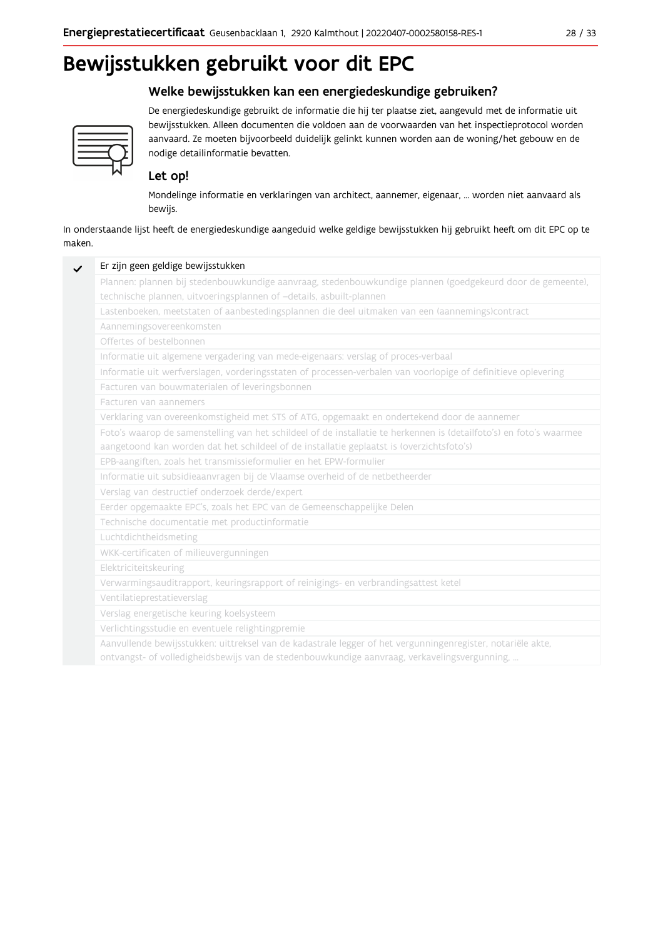### Welke bewijsstukken kan een energiedeskundige gebruiken?



De energiedeskundige gebruikt de informatie die hij ter plaatse ziet, aangevuld met de informatie uit bewijsstukken. Alleen documenten die voldoen aan de voorwaarden van het inspectieprotocol worden aanvaard. Ze moeten bijvoorbeeld duidelijk gelinkt kunnen worden aan de woning/het gebouw en de nodige detailinformatie bevatten.

### Let op!

Mondelinge informatie en verklaringen van architect, aannemer, eigenaar, ... worden niet aanvaard als bewijs.

In onderstaande lijst heeft de energiedeskundige aangeduid welke geldige bewijsstukken hij gebruikt heeft om dit EPC op te maken.

| Plannen: plannen bij stedenbouwkundige aanvraag, stedenbouwkundige plannen (goedgekeurd door de gemeente),          |
|---------------------------------------------------------------------------------------------------------------------|
| technische plannen, uitvoeringsplannen of -details, asbuilt-plannen                                                 |
| Lastenboeken, meetstaten of aanbestedingsplannen die deel uitmaken van een (aannemings)contract                     |
| Aannemingsovereenkomsten                                                                                            |
| Offertes of bestelbonnen                                                                                            |
| Informatie uit algemene vergadering van mede-eigenaars: verslag of proces-verbaal                                   |
| Informatie uit werfverslagen, vorderingsstaten of processen-verbalen van voorlopige of definitieve oplevering       |
| Facturen van bouwmaterialen of leveringsbonnen                                                                      |
| Facturen van aannemers                                                                                              |
| Verklaring van overeenkomstigheid met STS of ATG, opgemaakt en ondertekend door de aannemer                         |
| Foto's waarop de samenstelling van het schildeel of de installatie te herkennen is (detailfoto's) en foto's waarmee |
| aangetoond kan worden dat het schildeel of de installatie geplaatst is (overzichtsfoto's)                           |
| EPB-aangiften, zoals het transmissieformulier en het EPW-formulier                                                  |
| Informatie uit subsidieaanvragen bij de Vlaamse overheid of de netbetheerder                                        |
| Verslag van destructief onderzoek derde/expert                                                                      |
| Eerder opgemaakte EPC's, zoals het EPC van de Gemeenschappelijke Delen                                              |
| Technische documentatie met productinformatie                                                                       |
| Luchtdichtheidsmeting                                                                                               |
| WKK-certificaten of milieuvergunningen                                                                              |
| Elektriciteitskeuring                                                                                               |
| Verwarmingsauditrapport, keuringsrapport of reinigings- en verbrandingsattest ketel                                 |
| Ventilatieprestatieverslag                                                                                          |
| Verslag energetische keuring koelsysteem                                                                            |
| Verlichtingsstudie en eventuele relightingpremie                                                                    |
| Aanvullende bewijsstukken: uittreksel van de kadastrale legger of het vergunningenregister, notariële akte,         |
| ontvangst- of volledigheidsbewijs van de stedenbouwkundige aanvraag, verkavelingsvergunning,                        |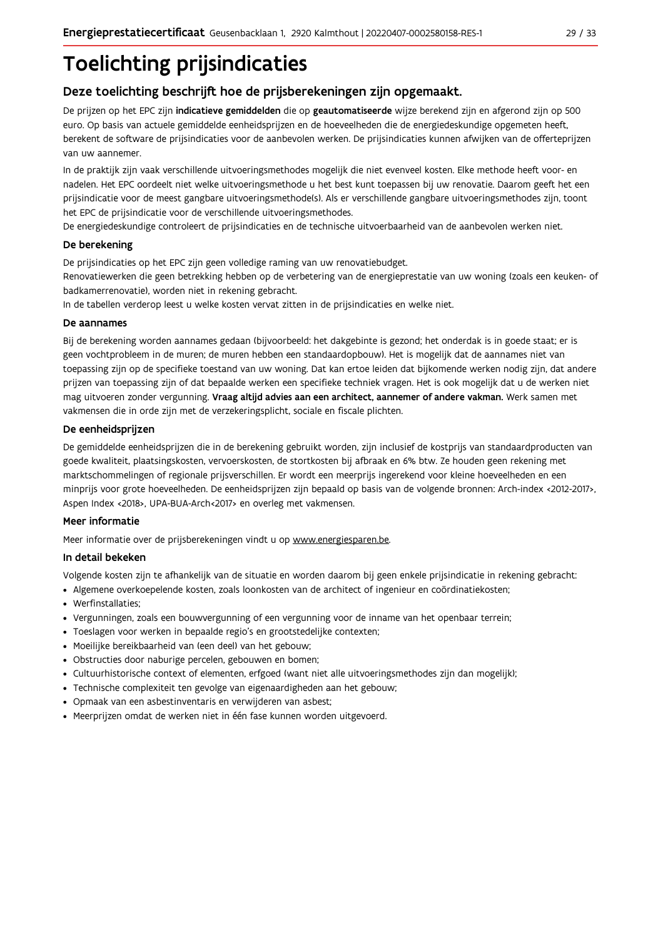# **Toelichting prijsindicaties**

### Deze toelichting beschrijft hoe de prijsberekeningen zijn opgemaakt.

De prijzen op het EPC zijn indicatieve gemiddelden die op geautomatiseerde wijze berekend zijn en afgerond zijn op 500 euro. Op basis van actuele gemiddelde eenheidsprijzen en de hoeveelheden die de energiedeskundige opgemeten heeft, berekent de software de prijsindicaties voor de aanbevolen werken. De prijsindicaties kunnen afwijken van de offerteprijzen van uw aannemer.

In de praktijk zijn vaak verschillende uitvoeringsmethodes mogelijk die niet evenveel kosten. Elke methode heeft voor- en nadelen. Het EPC oordeelt niet welke uitvoeringsmethode u het best kunt toepassen bij uw renovatie. Daarom geeft het een prijsindicatie voor de meest gangbare uitvoeringsmethode(s). Als er verschillende gangbare uitvoeringsmethodes zijn, toont het EPC de prijsindicatie voor de verschillende uitvoeringsmethodes.

De energiedeskundige controleert de prijsindicaties en de technische uitvoerbaarheid van de aanbevolen werken niet.

#### De berekening

De prijsindicaties op het EPC zijn geen volledige raming van uw renovatiebudget.

Renovatiewerken die geen betrekking hebben op de verbetering van de energieprestatie van uw woning (zoals een keuken- of badkamerrenovatie), worden niet in rekening gebracht.

In de tabellen verderop leest u welke kosten vervat zitten in de prijsindicaties en welke niet.

#### De aannames

Bij de berekening worden aannames gedaan (bijvoorbeeld: het dakgebinte is gezond; het onderdak is in goede staat; er is geen vochtprobleem in de muren; de muren hebben een standaardopbouw). Het is mogelijk dat de aannames niet van toepassing zijn op de specifieke toestand van uw woning. Dat kan ertoe leiden dat bijkomende werken nodig zijn, dat andere prijzen van toepassing zijn of dat bepaalde werken een specifieke techniek vragen. Het is ook mogelijk dat u de werken niet mag uitvoeren zonder vergunning. Vraag altijd advies aan een architect, aannemer of andere vakman. Werk samen met vakmensen die in orde zijn met de verzekeringsplicht, sociale en fiscale plichten.

#### De eenheidsprijzen

De gemiddelde eenheidspriizen die in de berekening gebruikt worden, zijn inclusief de kostpriis van standaardproducten van goede kwaliteit, plaatsingskosten, vervoerskosten, de stortkosten bij afbraak en 6% btw. Ze houden geen rekening met marktschommelingen of regionale prijsverschillen. Er wordt een meerprijs ingerekend voor kleine hoeveelheden en een minprijs voor grote hoeveelheden. De eenheidsprijzen zijn bepaald op basis van de volgende bronnen: Arch-index <2012-2017>, Aspen Index <2018>, UPA-BUA-Arch<2017> en overleg met vakmensen.

#### Meer informatie

Meer informatie over de prijsberekeningen vindt u op www.energiesparen.be.

#### In detail bekeken

Volgende kosten zijn te afhankelijk van de situatie en worden daarom bij geen enkele prijsindicatie in rekening gebracht:

- Algemene overkoepelende kosten, zoals loonkosten van de architect of ingenieur en coördinatiekosten;
- Werfinstallaties:
- · Vergunningen, zoals een bouwvergunning of een vergunning voor de inname van het openbaar terrein;
- Toeslagen voor werken in bepaalde regio's en grootstedelijke contexten:
- · Moeilijke bereikbaarheid van (een deel) van het gebouw;
- · Obstructies door naburige percelen, gebouwen en bomen;
- · Cultuurhistorische context of elementen, erfgoed (want niet alle uitvoeringsmethodes zijn dan mogelijk);
- · Technische complexiteit ten gevolge van eigenaardigheden aan het gebouw;
- · Opmaak van een asbestinventaris en verwijderen van asbest;
- · Meerprijzen omdat de werken niet in één fase kunnen worden uitgevoerd.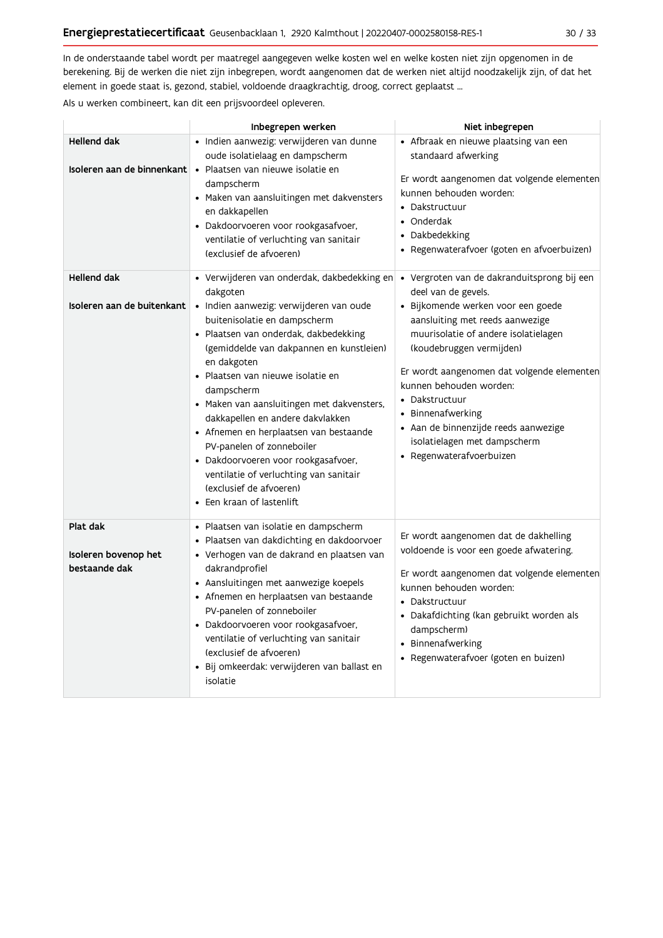In de onderstaande tabel wordt per maatregel aangegeven welke kosten wel en welke kosten niet zijn opgenomen in de berekening. Bij de werken die niet zijn inbegrepen, wordt aangenomen dat de werken niet altijd noodzakelijk zijn, of dat het element in goede staat is, gezond, stabiel, voldoende draagkrachtig, droog, correct geplaatst ...

Als u werken combineert, kan dit een prijsvoordeel opleveren.

|                                                   | Inbegrepen werken                                                                                                                                                                                                                                                                                                                                                                                                                                                                                                                                                                           | Niet inbegrepen                                                                                                                                                                                                                                                                                                                                                                                                                     |
|---------------------------------------------------|---------------------------------------------------------------------------------------------------------------------------------------------------------------------------------------------------------------------------------------------------------------------------------------------------------------------------------------------------------------------------------------------------------------------------------------------------------------------------------------------------------------------------------------------------------------------------------------------|-------------------------------------------------------------------------------------------------------------------------------------------------------------------------------------------------------------------------------------------------------------------------------------------------------------------------------------------------------------------------------------------------------------------------------------|
| <b>Hellend dak</b><br>Isoleren aan de binnenkant  | · Indien aanwezig: verwijderen van dunne<br>oude isolatielaag en dampscherm<br>• Plaatsen van nieuwe isolatie en<br>dampscherm<br>• Maken van aansluitingen met dakvensters<br>en dakkapellen<br>· Dakdoorvoeren voor rookgasafvoer,<br>ventilatie of verluchting van sanitair<br>(exclusief de afvoeren)                                                                                                                                                                                                                                                                                   | • Afbraak en nieuwe plaatsing van een<br>standaard afwerking<br>Er wordt aangenomen dat volgende elementen<br>kunnen behouden worden:<br>• Dakstructuur<br>• Onderdak<br>• Dakbedekking<br>· Regenwaterafvoer (goten en afvoerbuizen)                                                                                                                                                                                               |
| <b>Hellend dak</b><br>Isoleren aan de buitenkant  | • Verwijderen van onderdak, dakbedekking en<br>dakgoten<br>· Indien aanwezig: verwijderen van oude<br>buitenisolatie en dampscherm<br>· Plaatsen van onderdak, dakbedekking<br>(gemiddelde van dakpannen en kunstleien)<br>en dakgoten<br>• Plaatsen van nieuwe isolatie en<br>dampscherm<br>• Maken van aansluitingen met dakvensters,<br>dakkapellen en andere dakvlakken<br>• Afnemen en herplaatsen van bestaande<br>PV-panelen of zonneboiler<br>· Dakdoorvoeren voor rookgasafvoer,<br>ventilatie of verluchting van sanitair<br>(exclusief de afvoeren)<br>• Een kraan of lastenlift | · Vergroten van de dakranduitsprong bij een<br>deel van de gevels.<br>· Bijkomende werken voor een goede<br>aansluiting met reeds aanwezige<br>muurisolatie of andere isolatielagen<br>(koudebruggen vermijden)<br>Er wordt aangenomen dat volgende elementen<br>kunnen behouden worden:<br>• Dakstructuur<br>• Binnenafwerking<br>· Aan de binnenzijde reeds aanwezige<br>isolatielagen met dampscherm<br>• Regenwaterafvoerbuizen |
| Plat dak<br>Isoleren bovenop het<br>bestaande dak | • Plaatsen van isolatie en dampscherm<br>· Plaatsen van dakdichting en dakdoorvoer<br>· Verhogen van de dakrand en plaatsen van<br>dakrandprofiel<br>• Aansluitingen met aanwezige koepels<br>• Afnemen en herplaatsen van bestaande<br>PV-panelen of zonneboiler<br>· Dakdoorvoeren voor rookgasafvoer,<br>ventilatie of verluchting van sanitair<br>(exclusief de afvoeren)<br>· Bij omkeerdak: verwijderen van ballast en<br>isolatie                                                                                                                                                    | Er wordt aangenomen dat de dakhelling<br>voldoende is voor een goede afwatering.<br>Er wordt aangenomen dat volgende elementen<br>kunnen behouden worden:<br>• Dakstructuur<br>· Dakafdichting (kan gebruikt worden als<br>dampscherm)<br>• Binnenafwerking<br>• Regenwaterafvoer (goten en buizen)                                                                                                                                 |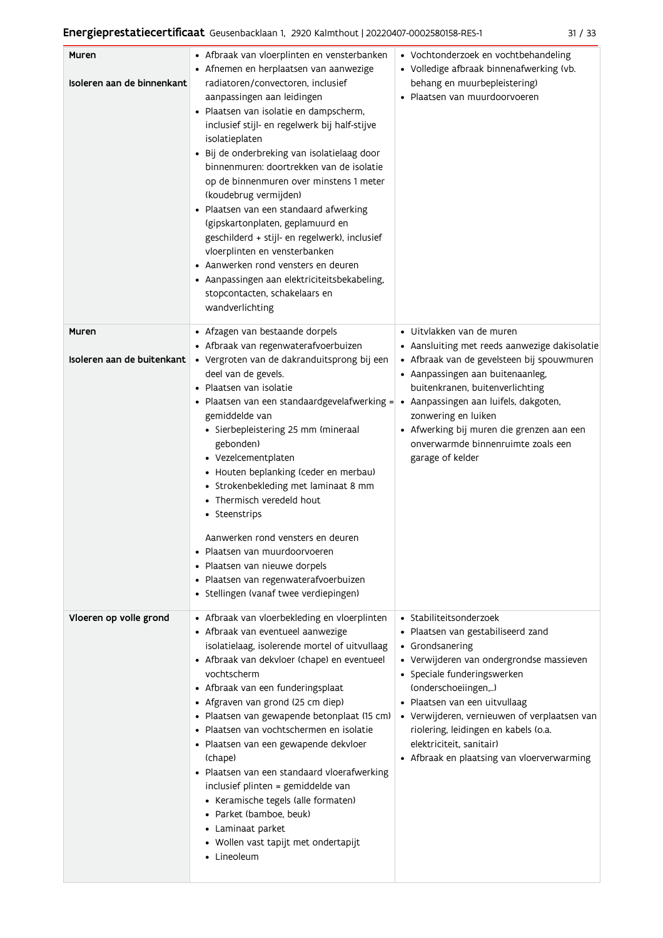| ۰. | ۰,<br>. .<br>× |
|----|----------------|
|    |                |

| Muren                      | • Afbraak van vloerplinten en vensterbanken                                                                   | • Vochtonderzoek en vochtbehandeling                                     |
|----------------------------|---------------------------------------------------------------------------------------------------------------|--------------------------------------------------------------------------|
| Isoleren aan de binnenkant | • Afnemen en herplaatsen van aanwezige<br>radiatoren/convectoren, inclusief                                   | • Volledige afbraak binnenafwerking (vb.<br>behang en muurbepleistering) |
|                            | aanpassingen aan leidingen                                                                                    | · Plaatsen van muurdoorvoeren                                            |
|                            | · Plaatsen van isolatie en dampscherm,                                                                        |                                                                          |
|                            | inclusief stijl- en regelwerk bij half-stijve<br>isolatieplaten                                               |                                                                          |
|                            | · Bij de onderbreking van isolatielaag door                                                                   |                                                                          |
|                            | binnenmuren: doortrekken van de isolatie                                                                      |                                                                          |
|                            | op de binnenmuren over minstens 1 meter                                                                       |                                                                          |
|                            | (koudebrug vermijden)                                                                                         |                                                                          |
|                            | · Plaatsen van een standaard afwerking                                                                        |                                                                          |
|                            | (gipskartonplaten, geplamuurd en                                                                              |                                                                          |
|                            | geschilderd + stijl- en regelwerk), inclusief<br>vloerplinten en vensterbanken                                |                                                                          |
|                            | • Aanwerken rond vensters en deuren                                                                           |                                                                          |
|                            | • Aanpassingen aan elektriciteitsbekabeling,                                                                  |                                                                          |
|                            | stopcontacten, schakelaars en                                                                                 |                                                                          |
|                            | wandverlichting                                                                                               |                                                                          |
| Muren                      | • Afzagen van bestaande dorpels                                                                               | · Uitvlakken van de muren                                                |
|                            | • Afbraak van regenwaterafvoerbuizen                                                                          | • Aansluiting met reeds aanwezige dakisolatie                            |
| Isoleren aan de buitenkant | · Vergroten van de dakranduitsprong bij een                                                                   | • Afbraak van de gevelsteen bij spouwmuren                               |
|                            | deel van de gevels.                                                                                           | • Aanpassingen aan buitenaanleg,                                         |
|                            | • Plaatsen van isolatie<br>• Plaatsen van een standaardgevelafwerking = • Aanpassingen aan luifels, dakgoten, | buitenkranen, buitenverlichting                                          |
|                            | gemiddelde van                                                                                                | zonwering en luiken                                                      |
|                            | • Sierbepleistering 25 mm (mineraal                                                                           | • Afwerking bij muren die grenzen aan een                                |
|                            | gebonden)                                                                                                     | onverwarmde binnenruimte zoals een                                       |
|                            | • Vezelcementplaten                                                                                           | garage of kelder                                                         |
|                            | • Houten beplanking (ceder en merbau)<br>• Strokenbekleding met laminaat 8 mm                                 |                                                                          |
|                            | • Thermisch veredeld hout                                                                                     |                                                                          |
|                            | • Steenstrips                                                                                                 |                                                                          |
|                            | Aanwerken rond vensters en deuren                                                                             |                                                                          |
|                            | • Plaatsen van muurdoorvoeren                                                                                 |                                                                          |
|                            | • Plaatsen van nieuwe dorpels                                                                                 |                                                                          |
|                            | · Plaatsen van regenwaterafvoerbuizen<br>· Stellingen (vanaf twee verdiepingen)                               |                                                                          |
|                            |                                                                                                               |                                                                          |
| Vloeren op volle grond     | • Afbraak van vloerbekleding en vloerplinten                                                                  | • Stabiliteitsonderzoek                                                  |
|                            | • Afbraak van eventueel aanwezige                                                                             | · Plaatsen van gestabiliseerd zand                                       |
|                            | isolatielaag, isolerende mortel of uitvullaag<br>• Afbraak van dekvloer (chape) en eventueel                  | • Grondsanering<br>· Verwijderen van ondergrondse massieven              |
|                            | vochtscherm                                                                                                   | • Speciale funderingswerken                                              |
|                            | • Afbraak van een funderingsplaat                                                                             | (onderschoeiingen,)                                                      |
|                            | • Afgraven van grond (25 cm diep)                                                                             | · Plaatsen van een uitvullaag                                            |
|                            | · Plaatsen van gewapende betonplaat (15 cm)                                                                   | • Verwijderen, vernieuwen of verplaatsen van                             |
|                            | • Plaatsen van vochtschermen en isolatie<br>• Plaatsen van een gewapende dekvloer                             | riolering, leidingen en kabels (o.a.<br>elektriciteit, sanitair)         |
|                            | (chape)                                                                                                       | • Afbraak en plaatsing van vloerverwarming                               |
|                            | • Plaatsen van een standaard vloerafwerking                                                                   |                                                                          |
|                            | inclusief plinten = gemiddelde van                                                                            |                                                                          |
|                            | • Keramische tegels (alle formaten)                                                                           |                                                                          |
|                            | • Parket (bamboe, beuk)<br>• Laminaat parket                                                                  |                                                                          |
|                            | • Wollen vast tapijt met ondertapijt                                                                          |                                                                          |
|                            | Lineoleum                                                                                                     |                                                                          |
|                            |                                                                                                               |                                                                          |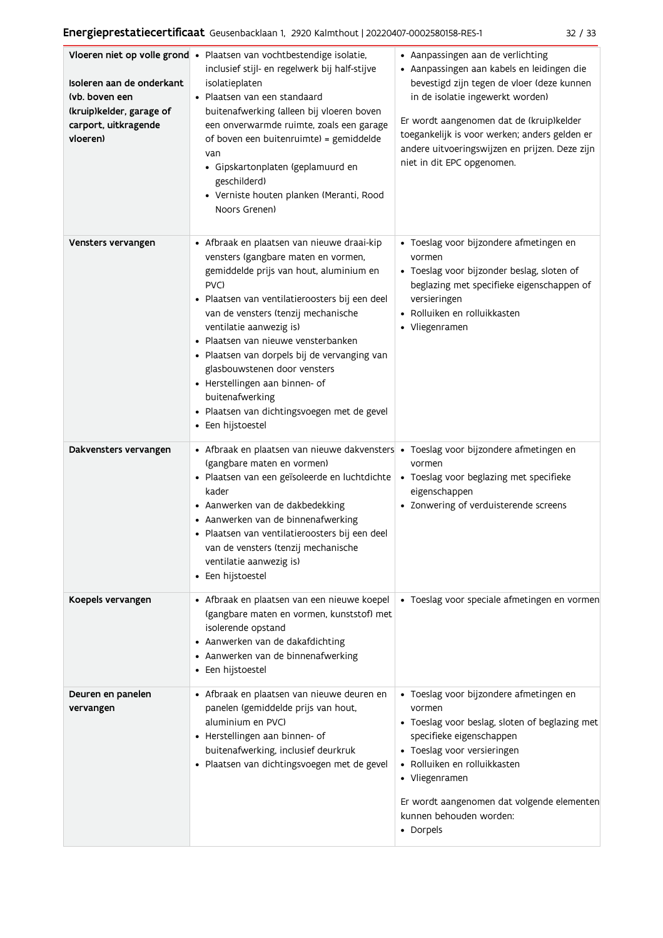| Isoleren aan de onderkant<br>(vb. boven een<br>(kruip)kelder, garage of<br>carport, uitkragende<br>vloeren) | Vloeren niet op volle grond · Plaatsen van vochtbestendige isolatie,<br>inclusief stijl- en regelwerk bij half-stijve<br>isolatieplaten<br>· Plaatsen van een standaard<br>buitenafwerking (alleen bij vloeren boven<br>een onverwarmde ruimte, zoals een garage<br>of boven een buitenruimte) = gemiddelde<br>van<br>· Gipskartonplaten (geplamuurd en<br>geschilderd)<br>• Verniste houten planken (Meranti, Rood<br>Noors Grenen)                                                                     | • Aanpassingen aan de verlichting<br>· Aanpassingen aan kabels en leidingen die<br>bevestigd zijn tegen de vloer (deze kunnen<br>in de isolatie ingewerkt worden)<br>Er wordt aangenomen dat de (kruip)kelder<br>toegankelijk is voor werken; anders gelden er<br>andere uitvoeringswijzen en prijzen. Deze zijn<br>niet in dit EPC opgenomen. |
|-------------------------------------------------------------------------------------------------------------|----------------------------------------------------------------------------------------------------------------------------------------------------------------------------------------------------------------------------------------------------------------------------------------------------------------------------------------------------------------------------------------------------------------------------------------------------------------------------------------------------------|------------------------------------------------------------------------------------------------------------------------------------------------------------------------------------------------------------------------------------------------------------------------------------------------------------------------------------------------|
| Vensters vervangen                                                                                          | • Afbraak en plaatsen van nieuwe draai-kip<br>vensters (gangbare maten en vormen,<br>gemiddelde prijs van hout, aluminium en<br>PVC)<br>· Plaatsen van ventilatieroosters bij een deel<br>van de vensters (tenzij mechanische<br>ventilatie aanwezig is)<br>· Plaatsen van nieuwe vensterbanken<br>· Plaatsen van dorpels bij de vervanging van<br>glasbouwstenen door vensters<br>• Herstellingen aan binnen- of<br>buitenafwerking<br>· Plaatsen van dichtingsvoegen met de gevel<br>• Een hijstoestel | · Toeslag voor bijzondere afmetingen en<br>vormen<br>· Toeslag voor bijzonder beslag, sloten of<br>beglazing met specifieke eigenschappen of<br>versieringen<br>· Rolluiken en rolluikkasten<br>• Vliegenramen                                                                                                                                 |
| Dakvensters vervangen                                                                                       | • Afbraak en plaatsen van nieuwe dakvensters • Toeslag voor bijzondere afmetingen en<br>(gangbare maten en vormen)<br>· Plaatsen van een geïsoleerde en luchtdichte<br>kader<br>• Aanwerken van de dakbedekking<br>• Aanwerken van de binnenafwerking<br>· Plaatsen van ventilatieroosters bij een deel<br>van de vensters (tenzij mechanische<br>ventilatie aanwezig is)<br>• Een hijstoestel                                                                                                           | vormen<br>• Toeslag voor beglazing met specifieke<br>eigenschappen<br>• Zonwering of verduisterende screens                                                                                                                                                                                                                                    |
| Koepels vervangen                                                                                           | • Afbraak en plaatsen van een nieuwe koepel<br>(gangbare maten en vormen, kunststof) met<br>isolerende opstand<br>• Aanwerken van de dakafdichting<br>• Aanwerken van de binnenafwerking<br>• Een hijstoestel                                                                                                                                                                                                                                                                                            | · Toeslag voor speciale afmetingen en vormen                                                                                                                                                                                                                                                                                                   |
| Deuren en panelen<br>vervangen                                                                              | • Afbraak en plaatsen van nieuwe deuren en<br>panelen (gemiddelde prijs van hout,<br>aluminium en PVC)<br>• Herstellingen aan binnen- of<br>buitenafwerking, inclusief deurkruk<br>· Plaatsen van dichtingsvoegen met de gevel                                                                                                                                                                                                                                                                           | · Toeslag voor bijzondere afmetingen en<br>vormen<br>• Toeslag voor beslag, sloten of beglazing met<br>specifieke eigenschappen<br>• Toeslag voor versieringen<br>• Rolluiken en rolluikkasten<br>• Vliegenramen<br>Er wordt aangenomen dat volgende elementen<br>kunnen behouden worden:<br>• Dorpels                                         |